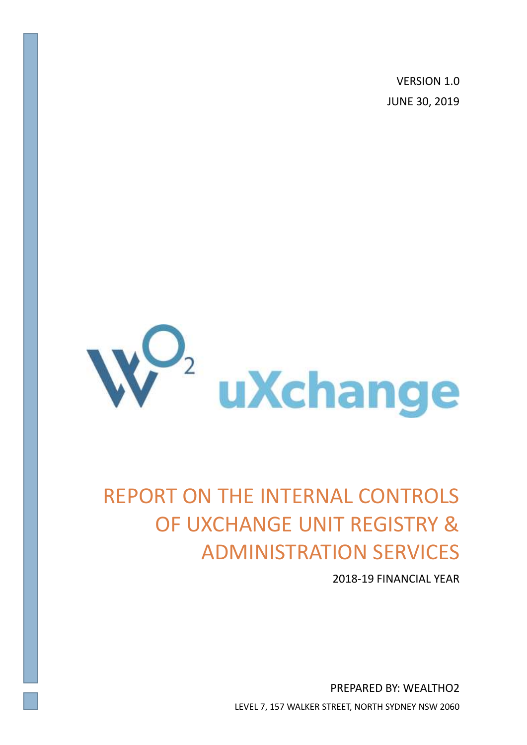VERSION 1.0 JUNE 30, 2019



# REPORT ON THE INTERNAL CONTROLS OF UXCHANGE UNIT REGISTRY & ADMINISTRATION SERVICES

2018-19 FINANCIAL YEAR

PREPARED BY: WEALTHO2 LEVEL 7, 157 WALKER STREET, NORTH SYDNEY NSW 2060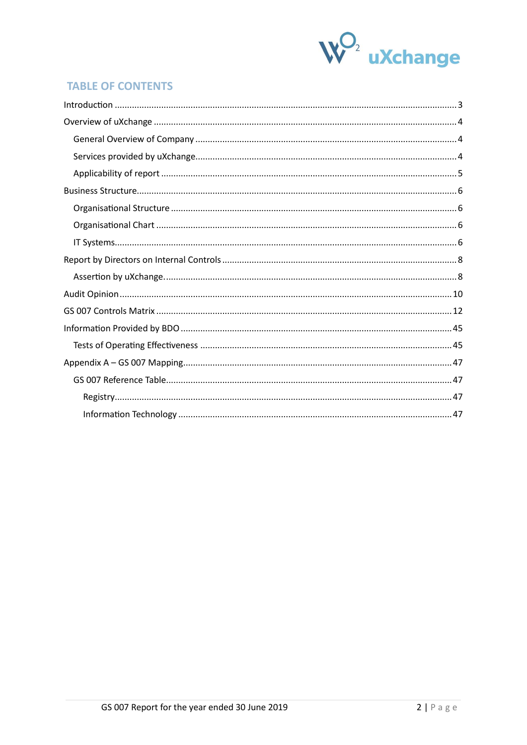

# **TABLE OF CONTENTS**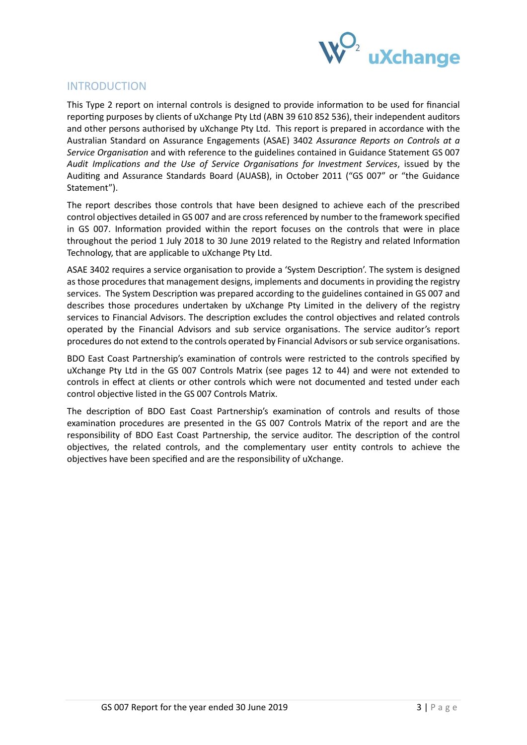

## <span id="page-2-0"></span>INTRODUCTION

This Type 2 report on internal controls is designed to provide information to be used for financial reporting purposes by clients of uXchange Pty Ltd (ABN 39 610 852 536), their independent auditors and other persons authorised by uXchange Pty Ltd. This report is prepared in accordance with the Australian Standard on Assurance Engagements (ASAE) 3402 *Assurance Reports on Controls at a Service Organisation* and with reference to the guidelines contained in Guidance Statement GS 007 *Audit Implications and the Use of Service Organisations for Investment Services*, issued by the Auditing and Assurance Standards Board (AUASB), in October 2011 ("GS 007" or "the Guidance Statement").

The report describes those controls that have been designed to achieve each of the prescribed control objectives detailed in GS 007 and are cross referenced by number to the framework specified in GS 007. Information provided within the report focuses on the controls that were in place throughout the period 1 July 2018 to 30 June 2019 related to the Registry and related Information Technology, that are applicable to uXchange Pty Ltd.

ASAE 3402 requires a service organisation to provide a 'System Description'. The system is designed as those procedures that management designs, implements and documents in providing the registry services. The System Description was prepared according to the guidelines contained in GS 007 and describes those procedures undertaken by uXchange Pty Limited in the delivery of the registry services to Financial Advisors. The description excludes the control objectives and related controls operated by the Financial Advisors and sub service organisations. The service auditor's report procedures do not extend to the controls operated by Financial Advisors or sub service organisations.

BDO East Coast Partnership's examination of controls were restricted to the controls specified by uXchange Pty Ltd in the GS 007 Controls Matrix (see pages 12 to 44) and were not extended to controls in effect at clients or other controls which were not documented and tested under each control objective listed in the GS 007 Controls Matrix.

The description of BDO East Coast Partnership's examination of controls and results of those examination procedures are presented in the GS 007 Controls Matrix of the report and are the responsibility of BDO East Coast Partnership, the service auditor. The description of the control objectives, the related controls, and the complementary user entity controls to achieve the objectives have been specified and are the responsibility of uXchange.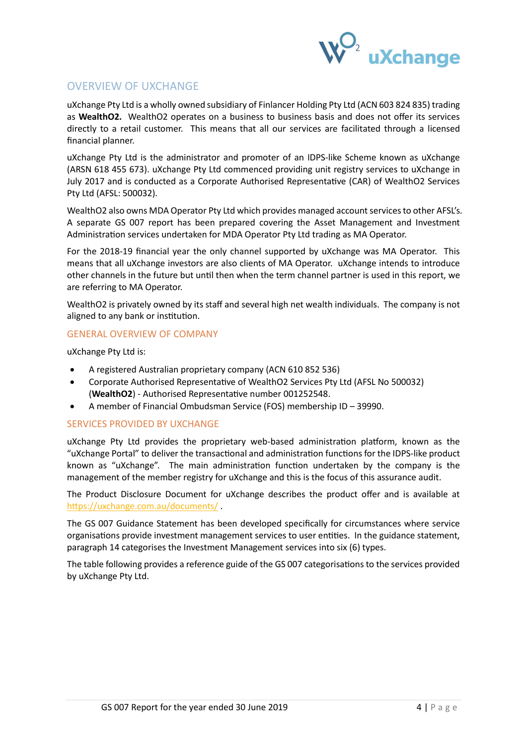

## <span id="page-3-0"></span>OVERVIEW OF UXCHANGE

uXchange Pty Ltd is a wholly owned subsidiary of Finlancer Holding Pty Ltd (ACN 603 824 835) trading as **WealthO2.** WealthO2 operates on a business to business basis and does not offer its services directly to a retail customer. This means that all our services are facilitated through a licensed financial planner.

uXchange Pty Ltd is the administrator and promoter of an IDPS-like Scheme known as uXchange (ARSN 618 455 673). uXchange Pty Ltd commenced providing unit registry services to uXchange in July 2017 and is conducted as a Corporate Authorised Representative (CAR) of WealthO2 Services Pty Ltd (AFSL: 500032).

WealthO2 also owns MDA Operator Pty Ltd which provides managed account services to other AFSL's. A separate GS 007 report has been prepared covering the Asset Management and Investment Administration services undertaken for MDA Operator Pty Ltd trading as MA Operator.

For the 2018-19 financial year the only channel supported by uXchange was MA Operator. This means that all uXchange investors are also clients of MA Operator. uXchange intends to introduce other channels in the future but until then when the term channel partner is used in this report, we are referring to MA Operator.

WealthO2 is privately owned by its staff and several high net wealth individuals. The company is not aligned to any bank or institution.

#### <span id="page-3-1"></span>GENERAL OVERVIEW OF COMPANY

uXchange Pty Ltd is:

- A registered Australian proprietary company (ACN 610 852 536)
- Corporate Authorised Representative of WealthO2 Services Pty Ltd (AFSL No 500032) (**WealthO2**) - Authorised Representative number 001252548.
- A member of Financial Ombudsman Service (FOS) membership ID 39990.

#### <span id="page-3-2"></span>SERVICES PROVIDED BY UXCHANGE

uXchange Pty Ltd provides the proprietary web-based administration platform, known as the "uXchange Portal" to deliver the transactional and administration functions for the IDPS-like product known as "uXchange". The main administration function undertaken by the company is the management of the member registry for uXchange and this is the focus of this assurance audit.

The Product Disclosure Document for uXchange describes the product offer and is available at <https://uxchange.com.au/documents/> .

The GS 007 Guidance Statement has been developed specifically for circumstances where service organisations provide investment management services to user entities. In the guidance statement, paragraph 14 categorises the Investment Management services into six (6) types.

The table following provides a reference guide of the GS 007 categorisations to the services provided by uXchange Pty Ltd.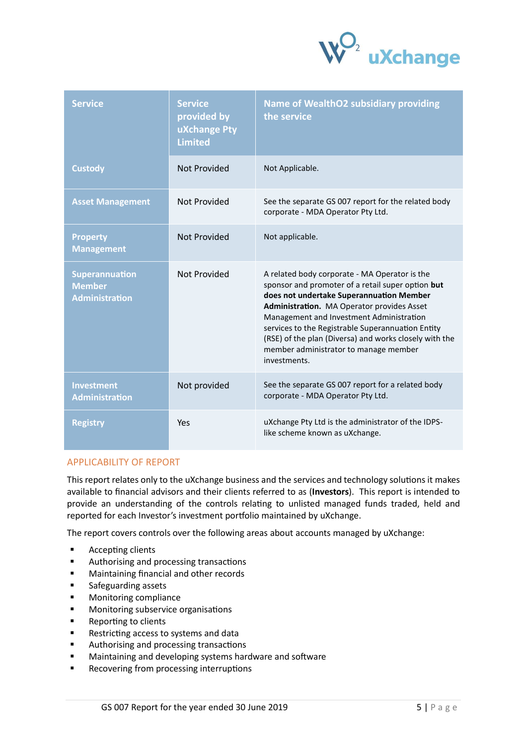

| <b>Service</b>                                                  | <b>Service</b><br>provided by<br>uXchange Pty<br><b>Limited</b> | Name of WealthO2 subsidiary providing<br>the service                                                                                                                                                                                                                                                                                                                                                             |
|-----------------------------------------------------------------|-----------------------------------------------------------------|------------------------------------------------------------------------------------------------------------------------------------------------------------------------------------------------------------------------------------------------------------------------------------------------------------------------------------------------------------------------------------------------------------------|
| <b>Custody</b>                                                  | Not Provided                                                    | Not Applicable.                                                                                                                                                                                                                                                                                                                                                                                                  |
| <b>Asset Management</b>                                         | Not Provided                                                    | See the separate GS 007 report for the related body<br>corporate - MDA Operator Pty Ltd.                                                                                                                                                                                                                                                                                                                         |
| <b>Property</b><br><b>Management</b>                            | <b>Not Provided</b>                                             | Not applicable.                                                                                                                                                                                                                                                                                                                                                                                                  |
| <b>Superannuation</b><br><b>Member</b><br><b>Administration</b> | Not Provided                                                    | A related body corporate - MA Operator is the<br>sponsor and promoter of a retail super option but<br>does not undertake Superannuation Member<br>Administration. MA Operator provides Asset<br>Management and Investment Administration<br>services to the Registrable Superannuation Entity<br>(RSE) of the plan (Diversa) and works closely with the<br>member administrator to manage member<br>investments. |
| <b>Investment</b><br><b>Administration</b>                      | Not provided                                                    | See the separate GS 007 report for a related body<br>corporate - MDA Operator Pty Ltd.                                                                                                                                                                                                                                                                                                                           |
| <b>Registry</b>                                                 | Yes                                                             | uXchange Pty Ltd is the administrator of the IDPS-<br>like scheme known as uXchange.                                                                                                                                                                                                                                                                                                                             |

#### <span id="page-4-0"></span>APPLICABILITY OF REPORT

This report relates only to the uXchange business and the services and technology solutions it makes available to financial advisors and their clients referred to as (**Investors**). This report is intended to provide an understanding of the controls relating to unlisted managed funds traded, held and reported for each Investor's investment portfolio maintained by uXchange.

The report covers controls over the following areas about accounts managed by uXchange:

- Accepting clients
- Authorising and processing transactions
- Maintaining financial and other records
- Safeguarding assets
- Monitoring compliance
- Monitoring subservice organisations
- Reporting to clients
- Restricting access to systems and data
- Authorising and processing transactions
- Maintaining and developing systems hardware and software
- Recovering from processing interruptions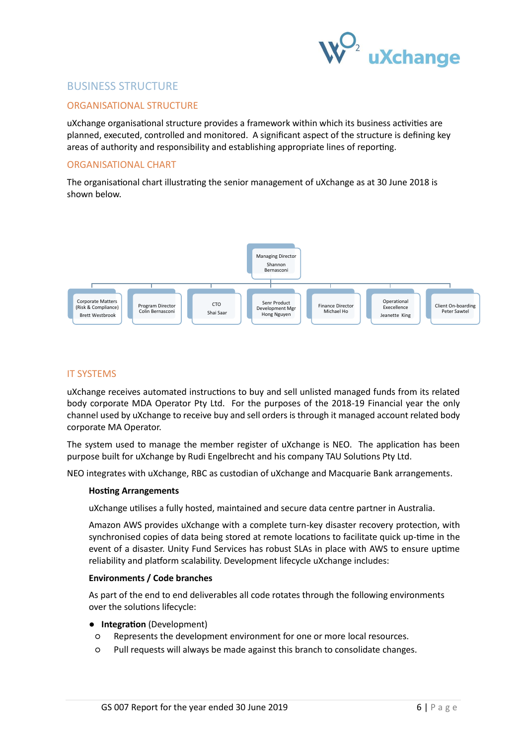

## <span id="page-5-0"></span>BUSINESS STRUCTURE

#### <span id="page-5-1"></span>ORGANISATIONAL STRUCTURE

uXchange organisational structure provides a framework within which its business activities are planned, executed, controlled and monitored. A significant aspect of the structure is defining key areas of authority and responsibility and establishing appropriate lines of reporting.

#### <span id="page-5-2"></span>ORGANISATIONAL CHART

The organisational chart illustrating the senior management of uXchange as at 30 June 2018 is shown below.



#### <span id="page-5-3"></span>IT SYSTEMS

uXchange receives automated instructions to buy and sell unlisted managed funds from its related body corporate MDA Operator Pty Ltd. For the purposes of the 2018-19 Financial year the only channel used by uXchange to receive buy and sell orders is through it managed account related body corporate MA Operator.

The system used to manage the member register of uXchange is NEO. The application has been purpose built for uXchange by Rudi Engelbrecht and his company TAU Solutions Pty Ltd.

NEO integrates with uXchange, RBC as custodian of uXchange and Macquarie Bank arrangements.

#### **Hosting Arrangements**

uXchange utilises a fully hosted, maintained and secure data centre partner in Australia.

Amazon AWS provides uXchange with a complete turn-key disaster recovery protection, with synchronised copies of data being stored at remote locations to facilitate quick up-time in the event of a disaster. Unity Fund Services has robust SLAs in place with AWS to ensure uptime reliability and platform scalability. Development lifecycle uXchange includes:

#### **Environments / Code branches**

As part of the end to end deliverables all code rotates through the following environments over the solutions lifecycle:

- **Integration** (Development)
- Represents the development environment for one or more local resources.
- Pull requests will always be made against this branch to consolidate changes.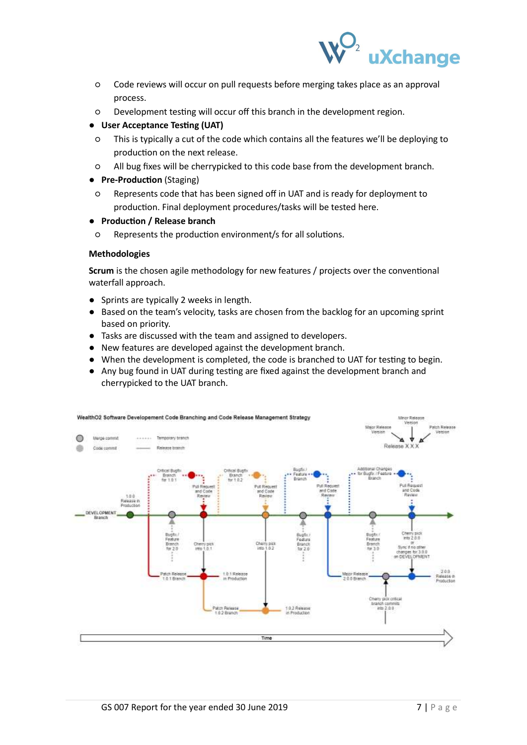

- Code reviews will occur on pull requests before merging takes place as an approval process.
- Development testing will occur off this branch in the development region.
- **User Acceptance Testing (UAT)**
- This is typically a cut of the code which contains all the features we'll be deploying to production on the next release.
- All bug fixes will be cherrypicked to this code base from the development branch.
- **Pre-Production** (Staging)
- Represents code that has been signed off in UAT and is ready for deployment to production. Final deployment procedures/tasks will be tested here.
- **Production / Release branch**
- Represents the production environment/s for all solutions.

#### **Methodologies**

**Scrum** is the chosen agile methodology for new features / projects over the conventional waterfall approach.

- Sprints are typically 2 weeks in length.
- Based on the team's velocity, tasks are chosen from the backlog for an upcoming sprint based on priority.
- Tasks are discussed with the team and assigned to developers.
- New features are developed against the development branch.
- When the development is completed, the code is branched to UAT for testing to begin.
- Any bug found in UAT during testing are fixed against the development branch and cherrypicked to the UAT branch.

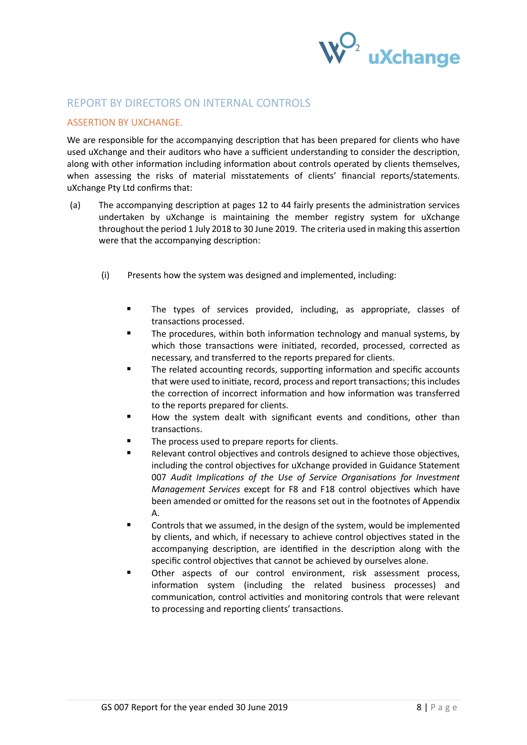

## <span id="page-7-0"></span>REPORT BY DIRECTORS ON INTERNAL CONTROLS

#### <span id="page-7-1"></span>ASSERTION BY UXCHANGE.

We are responsible for the accompanying description that has been prepared for clients who have used uXchange and their auditors who have a sufficient understanding to consider the description, along with other information including information about controls operated by clients themselves, when assessing the risks of material misstatements of clients' financial reports/statements. uXchange Pty Ltd confirms that:

- (a) The accompanying description at pages 12 to 44 fairly presents the administration services undertaken by uXchange is maintaining the member registry system for uXchange throughout the period 1 July 2018 to 30 June 2019. The criteria used in making this assertion were that the accompanying description:
	- (i) Presents how the system was designed and implemented, including:
		- The types of services provided, including, as appropriate, classes of transactions processed.
		- The procedures, within both information technology and manual systems, by which those transactions were initiated, recorded, processed, corrected as necessary, and transferred to the reports prepared for clients.
		- The related accounting records, supporting information and specific accounts that were used to initiate, record, process and report transactions; this includes the correction of incorrect information and how information was transferred to the reports prepared for clients.
		- How the system dealt with significant events and conditions, other than transactions.
		- The process used to prepare reports for clients.
		- Relevant control objectives and controls designed to achieve those objectives, including the control objectives for uXchange provided in Guidance Statement 007 *Audit Implications of the Use of Service Organisations for Investment Management Services* except for F8 and F18 control objectives which have been amended or omitted for the reasons set out in the footnotes of Appendix A.
		- Controls that we assumed, in the design of the system, would be implemented by clients, and which, if necessary to achieve control objectives stated in the accompanying description, are identified in the description along with the specific control objectives that cannot be achieved by ourselves alone.
		- Other aspects of our control environment, risk assessment process, information system (including the related business processes) and communication, control activities and monitoring controls that were relevant to processing and reporting clients' transactions.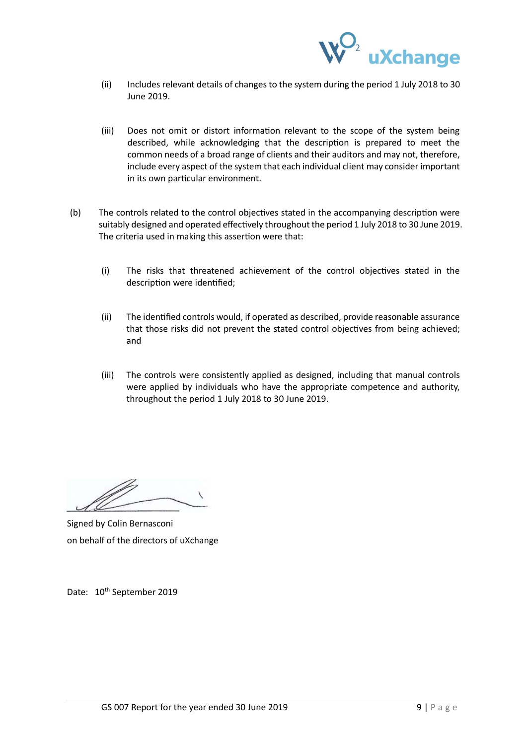

- (ii) Includes relevant details of changes to the system during the period 1 July 2018 to 30 June 2019.
- (iii) Does not omit or distort information relevant to the scope of the system being described, while acknowledging that the description is prepared to meet the common needs of a broad range of clients and their auditors and may not, therefore, include every aspect of the system that each individual client may consider important in its own particular environment.
- (b) The controls related to the control objectives stated in the accompanying description were suitably designed and operated effectively throughout the period 1 July 2018 to 30 June 2019. The criteria used in making this assertion were that:
	- (i) The risks that threatened achievement of the control objectives stated in the description were identified;
	- (ii) The identified controls would, if operated as described, provide reasonable assurance that those risks did not prevent the stated control objectives from being achieved; and
	- (iii) The controls were consistently applied as designed, including that manual controls were applied by individuals who have the appropriate competence and authority, throughout the period 1 July 2018 to 30 June 2019.

Signed by Colin Bernasconi on behalf of the directors of uXchange

Date: 10<sup>th</sup> September 2019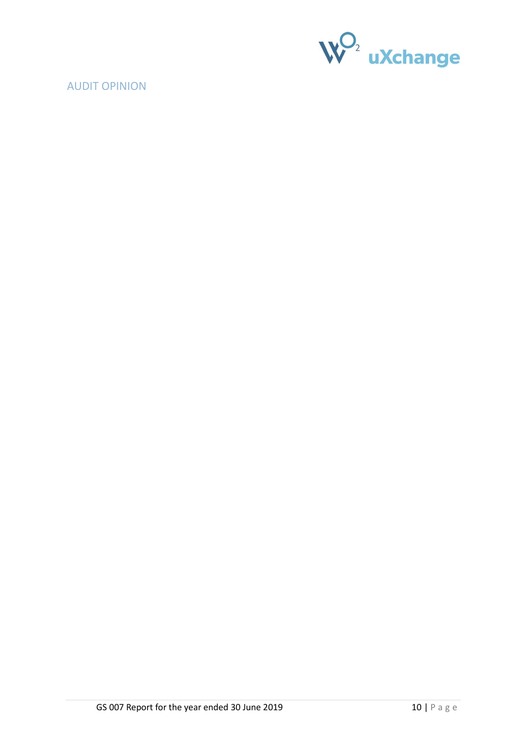

## <span id="page-9-0"></span>AUDIT OPINION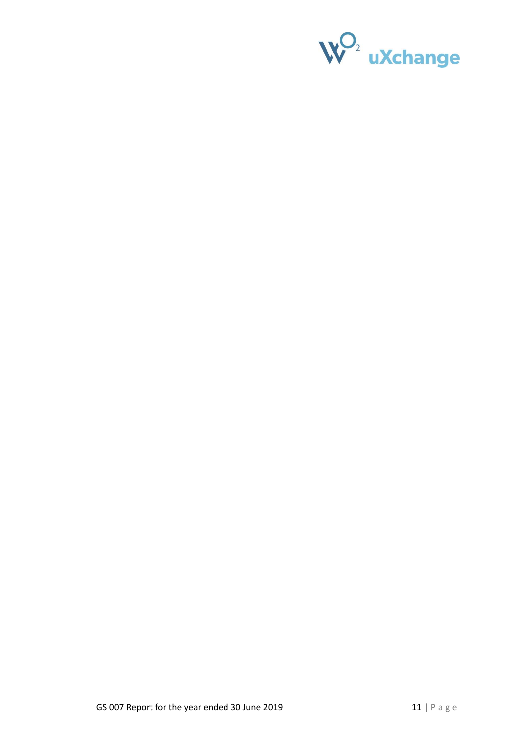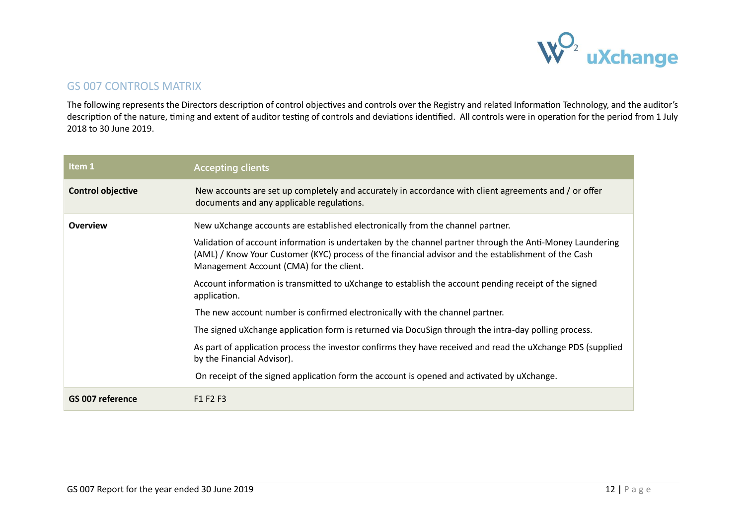

### GS 007 CONTROLS MATRIX

The following represents the Directors description of control objectives and controls over the Registry and related Information Technology, and the auditor's description of the nature, timing and extent of auditor testing of controls and deviations identified. All controls were in operation for the period from 1 July 2018 to 30 June 2019.

<span id="page-11-0"></span>

| Item <sub>1</sub>        | <b>Accepting clients</b>                                                                                                                                                                                                                                                                                                                                                                                                                                                                                                                                                                                                                                                                                                                                                                                                                                                                                  |
|--------------------------|-----------------------------------------------------------------------------------------------------------------------------------------------------------------------------------------------------------------------------------------------------------------------------------------------------------------------------------------------------------------------------------------------------------------------------------------------------------------------------------------------------------------------------------------------------------------------------------------------------------------------------------------------------------------------------------------------------------------------------------------------------------------------------------------------------------------------------------------------------------------------------------------------------------|
| <b>Control objective</b> | New accounts are set up completely and accurately in accordance with client agreements and / or offer<br>documents and any applicable regulations.                                                                                                                                                                                                                                                                                                                                                                                                                                                                                                                                                                                                                                                                                                                                                        |
| <b>Overview</b>          | New uXchange accounts are established electronically from the channel partner.<br>Validation of account information is undertaken by the channel partner through the Anti-Money Laundering<br>(AML) / Know Your Customer (KYC) process of the financial advisor and the establishment of the Cash<br>Management Account (CMA) for the client.<br>Account information is transmitted to uXchange to establish the account pending receipt of the signed<br>application.<br>The new account number is confirmed electronically with the channel partner.<br>The signed uXchange application form is returned via DocuSign through the intra-day polling process.<br>As part of application process the investor confirms they have received and read the uXchange PDS (supplied<br>by the Financial Advisor).<br>On receipt of the signed application form the account is opened and activated by uXchange. |
| GS 007 reference         | F <sub>1</sub> F <sub>2</sub> F <sub>3</sub>                                                                                                                                                                                                                                                                                                                                                                                                                                                                                                                                                                                                                                                                                                                                                                                                                                                              |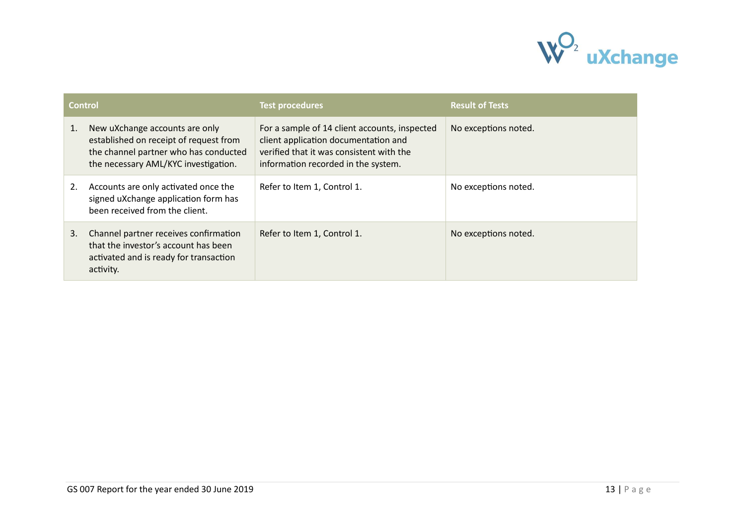

| Control |                                                                                                                                                           | <b>Test procedures</b>                                                                                                                                                   | <b>Result of Tests</b> |
|---------|-----------------------------------------------------------------------------------------------------------------------------------------------------------|--------------------------------------------------------------------------------------------------------------------------------------------------------------------------|------------------------|
|         | New uXchange accounts are only<br>established on receipt of request from<br>the channel partner who has conducted<br>the necessary AML/KYC investigation. | For a sample of 14 client accounts, inspected<br>client application documentation and<br>verified that it was consistent with the<br>information recorded in the system. | No exceptions noted.   |
| 2.      | Accounts are only activated once the<br>signed uXchange application form has<br>been received from the client.                                            | Refer to Item 1, Control 1.                                                                                                                                              | No exceptions noted.   |
| 3.      | Channel partner receives confirmation<br>that the investor's account has been<br>activated and is ready for transaction<br>activity.                      | Refer to Item 1, Control 1.                                                                                                                                              | No exceptions noted.   |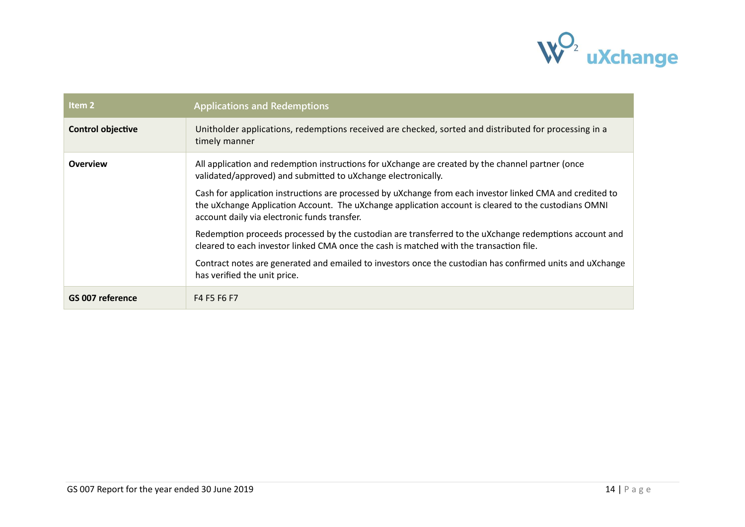

| Item 2                   | <b>Applications and Redemptions</b>                                                                                                                                                                                                                               |
|--------------------------|-------------------------------------------------------------------------------------------------------------------------------------------------------------------------------------------------------------------------------------------------------------------|
| <b>Control objective</b> | Unitholder applications, redemptions received are checked, sorted and distributed for processing in a<br>timely manner                                                                                                                                            |
| <b>Overview</b>          | All application and redemption instructions for uXchange are created by the channel partner (once<br>validated/approved) and submitted to uXchange electronically.                                                                                                |
|                          | Cash for application instructions are processed by uXchange from each investor linked CMA and credited to<br>the uXchange Application Account. The uXchange application account is cleared to the custodians OMNI<br>account daily via electronic funds transfer. |
|                          | Redemption proceeds processed by the custodian are transferred to the uXchange redemptions account and<br>cleared to each investor linked CMA once the cash is matched with the transaction file.                                                                 |
|                          | Contract notes are generated and emailed to investors once the custodian has confirmed units and uXchange<br>has verified the unit price.                                                                                                                         |
| GS 007 reference         | F4 F5 F6 F7                                                                                                                                                                                                                                                       |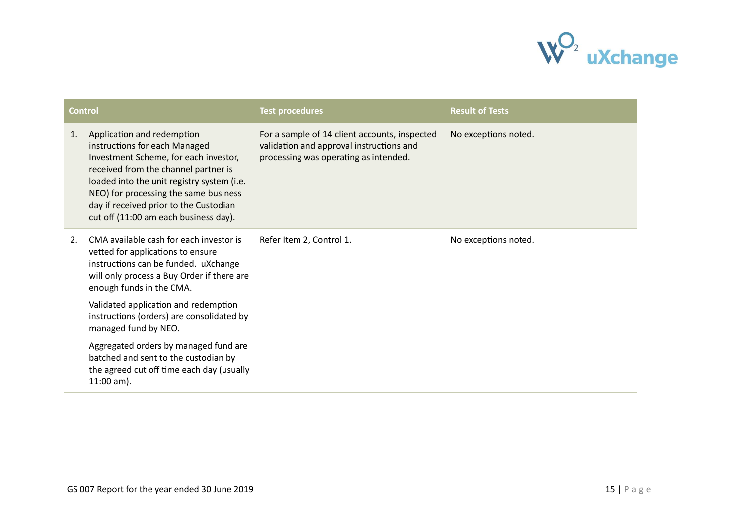

| <b>Control</b> |                                                                                                                                                                                                                                                                                                                        | <b>Test procedures</b>                                                                                                             | <b>Result of Tests</b> |
|----------------|------------------------------------------------------------------------------------------------------------------------------------------------------------------------------------------------------------------------------------------------------------------------------------------------------------------------|------------------------------------------------------------------------------------------------------------------------------------|------------------------|
| $\mathbf{1}$ . | Application and redemption<br>instructions for each Managed<br>Investment Scheme, for each investor,<br>received from the channel partner is<br>loaded into the unit registry system (i.e.<br>NEO) for processing the same business<br>day if received prior to the Custodian<br>cut off (11:00 am each business day). | For a sample of 14 client accounts, inspected<br>validation and approval instructions and<br>processing was operating as intended. | No exceptions noted.   |
| 2.             | CMA available cash for each investor is<br>vetted for applications to ensure<br>instructions can be funded. uXchange<br>will only process a Buy Order if there are<br>enough funds in the CMA.                                                                                                                         | Refer Item 2, Control 1.                                                                                                           | No exceptions noted.   |
|                | Validated application and redemption<br>instructions (orders) are consolidated by<br>managed fund by NEO.                                                                                                                                                                                                              |                                                                                                                                    |                        |
|                | Aggregated orders by managed fund are<br>batched and sent to the custodian by<br>the agreed cut off time each day (usually<br>$11:00$ am).                                                                                                                                                                             |                                                                                                                                    |                        |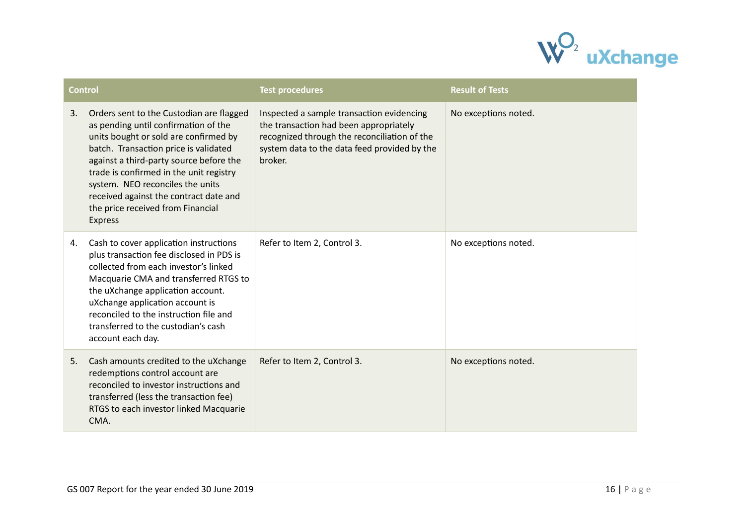

| <b>Control</b> |                                                                                                                                                                                                                                                                                                                                                                                               | <b>Test procedures</b>                                                                                                                                                                         | <b>Result of Tests</b> |
|----------------|-----------------------------------------------------------------------------------------------------------------------------------------------------------------------------------------------------------------------------------------------------------------------------------------------------------------------------------------------------------------------------------------------|------------------------------------------------------------------------------------------------------------------------------------------------------------------------------------------------|------------------------|
| 3.             | Orders sent to the Custodian are flagged<br>as pending until confirmation of the<br>units bought or sold are confirmed by<br>batch. Transaction price is validated<br>against a third-party source before the<br>trade is confirmed in the unit registry<br>system. NEO reconciles the units<br>received against the contract date and<br>the price received from Financial<br><b>Express</b> | Inspected a sample transaction evidencing<br>the transaction had been appropriately<br>recognized through the reconciliation of the<br>system data to the data feed provided by the<br>broker. | No exceptions noted.   |
| 4.             | Cash to cover application instructions<br>plus transaction fee disclosed in PDS is<br>collected from each investor's linked<br>Macquarie CMA and transferred RTGS to<br>the uXchange application account.<br>uXchange application account is<br>reconciled to the instruction file and<br>transferred to the custodian's cash<br>account each day.                                            | Refer to Item 2, Control 3.                                                                                                                                                                    | No exceptions noted.   |
| 5.             | Cash amounts credited to the uXchange<br>redemptions control account are<br>reconciled to investor instructions and<br>transferred (less the transaction fee)<br>RTGS to each investor linked Macquarie<br>CMA.                                                                                                                                                                               | Refer to Item 2, Control 3.                                                                                                                                                                    | No exceptions noted.   |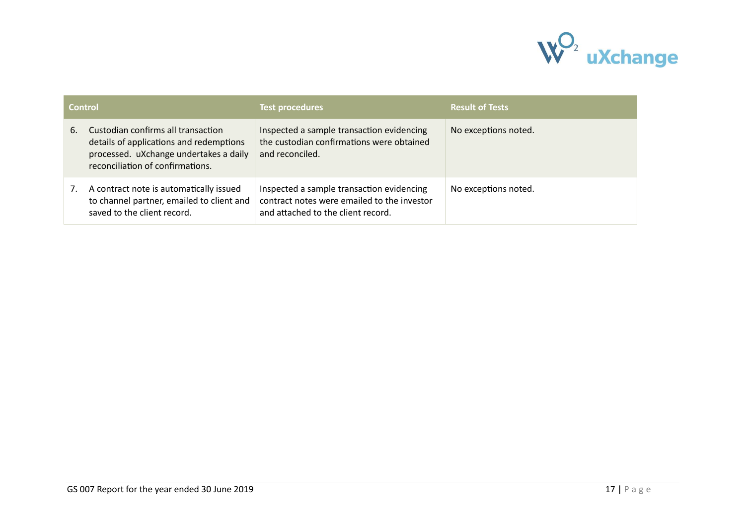

| Control |                                                                                                                                                             | <b>Test procedures</b>                                                                                                         | <b>Result of Tests</b> |
|---------|-------------------------------------------------------------------------------------------------------------------------------------------------------------|--------------------------------------------------------------------------------------------------------------------------------|------------------------|
| 6.      | Custodian confirms all transaction<br>details of applications and redemptions<br>processed. uXchange undertakes a daily<br>reconciliation of confirmations. | Inspected a sample transaction evidencing<br>the custodian confirmations were obtained<br>and reconciled.                      | No exceptions noted.   |
|         | A contract note is automatically issued<br>to channel partner, emailed to client and<br>saved to the client record.                                         | Inspected a sample transaction evidencing<br>contract notes were emailed to the investor<br>and attached to the client record. | No exceptions noted.   |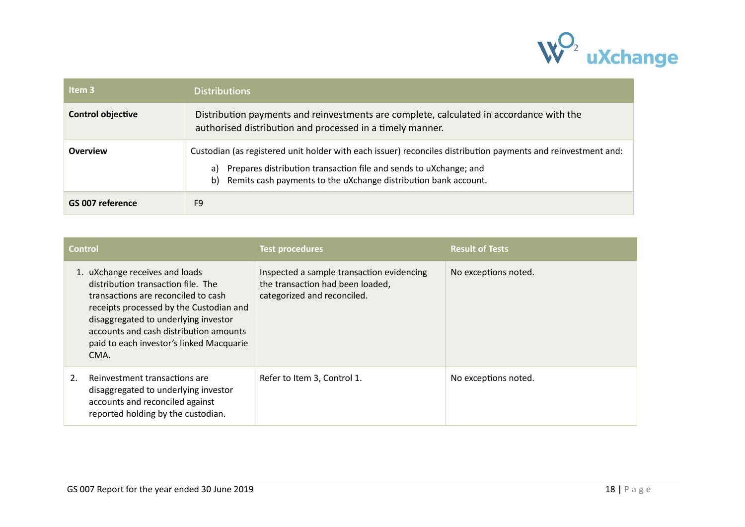

| Item <sub>3</sub>        | <b>Distributions</b>                                                                                                                                                                                                                                        |  |
|--------------------------|-------------------------------------------------------------------------------------------------------------------------------------------------------------------------------------------------------------------------------------------------------------|--|
| <b>Control objective</b> | Distribution payments and reinvestments are complete, calculated in accordance with the<br>authorised distribution and processed in a timely manner.                                                                                                        |  |
| Overview                 | Custodian (as registered unit holder with each issuer) reconciles distribution payments and reinvestment and:<br>a) Prepares distribution transaction file and sends to uXchange; and<br>b) Remits cash payments to the uXchange distribution bank account. |  |
| GS 007 reference         | F9                                                                                                                                                                                                                                                          |  |

| Control                                                                                                                                                                                                                                                                                      | <b>Test procedures</b>                                                                                       | <b>Result of Tests</b> |
|----------------------------------------------------------------------------------------------------------------------------------------------------------------------------------------------------------------------------------------------------------------------------------------------|--------------------------------------------------------------------------------------------------------------|------------------------|
| 1. uXchange receives and loads<br>distribution transaction file. The<br>transactions are reconciled to cash<br>receipts processed by the Custodian and<br>disaggregated to underlying investor<br>accounts and cash distribution amounts<br>paid to each investor's linked Macquarie<br>CMA. | Inspected a sample transaction evidencing<br>the transaction had been loaded,<br>categorized and reconciled. | No exceptions noted.   |
| Reinvestment transactions are<br>disaggregated to underlying investor<br>accounts and reconciled against<br>reported holding by the custodian.                                                                                                                                               | Refer to Item 3, Control 1.                                                                                  | No exceptions noted.   |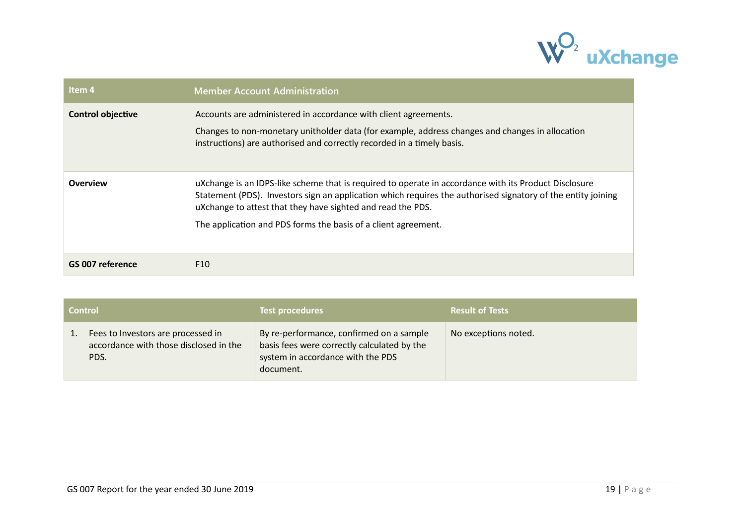

| Item 4                   | <b>Member Account Administration</b>                                                                                                                                                                                                                                                                                                                   |
|--------------------------|--------------------------------------------------------------------------------------------------------------------------------------------------------------------------------------------------------------------------------------------------------------------------------------------------------------------------------------------------------|
| <b>Control objective</b> | Accounts are administered in accordance with client agreements.<br>Changes to non-monetary unitholder data (for example, address changes and changes in allocation<br>instructions) are authorised and correctly recorded in a timely basis.                                                                                                           |
| <b>Overview</b>          | uXchange is an IDPS-like scheme that is required to operate in accordance with its Product Disclosure<br>Statement (PDS). Investors sign an application which requires the authorised signatory of the entity joining<br>uXchange to attest that they have sighted and read the PDS.<br>The application and PDS forms the basis of a client agreement. |
| GS 007 reference         | F <sub>10</sub>                                                                                                                                                                                                                                                                                                                                        |

| <b>Control</b> |                                                                                      | <b>Test procedures</b>                                                                                                                    | <b>Result of Tests</b> |
|----------------|--------------------------------------------------------------------------------------|-------------------------------------------------------------------------------------------------------------------------------------------|------------------------|
|                | Fees to Investors are processed in<br>accordance with those disclosed in the<br>PDS. | By re-performance, confirmed on a sample<br>basis fees were correctly calculated by the<br>system in accordance with the PDS<br>document. | No exceptions noted.   |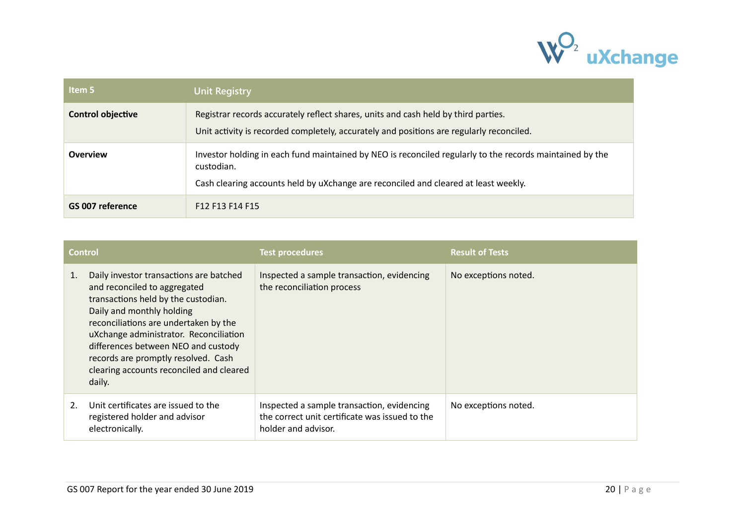

| Item 5                   | <b>Unit Registry</b>                                                                                                                                                                                          |
|--------------------------|---------------------------------------------------------------------------------------------------------------------------------------------------------------------------------------------------------------|
| <b>Control objective</b> | Registrar records accurately reflect shares, units and cash held by third parties.<br>Unit activity is recorded completely, accurately and positions are regularly reconciled.                                |
| <b>Overview</b>          | Investor holding in each fund maintained by NEO is reconciled regularly to the records maintained by the<br>custodian.<br>Cash clearing accounts held by uXchange are reconciled and cleared at least weekly. |
| GS 007 reference         | F12 F13 F14 F15                                                                                                                                                                                               |

| <b>Control</b> |                                                                                                                                                                                                                                                                                                                                                                    | <b>Test procedures</b>                                                                                              | <b>Result of Tests</b> |
|----------------|--------------------------------------------------------------------------------------------------------------------------------------------------------------------------------------------------------------------------------------------------------------------------------------------------------------------------------------------------------------------|---------------------------------------------------------------------------------------------------------------------|------------------------|
| 1.             | Daily investor transactions are batched<br>and reconciled to aggregated<br>transactions held by the custodian.<br>Daily and monthly holding<br>reconciliations are undertaken by the<br>uXchange administrator. Reconciliation<br>differences between NEO and custody<br>records are promptly resolved. Cash<br>clearing accounts reconciled and cleared<br>daily. | Inspected a sample transaction, evidencing<br>the reconciliation process                                            | No exceptions noted.   |
|                | Unit certificates are issued to the<br>registered holder and advisor<br>electronically.                                                                                                                                                                                                                                                                            | Inspected a sample transaction, evidencing<br>the correct unit certificate was issued to the<br>holder and advisor. | No exceptions noted.   |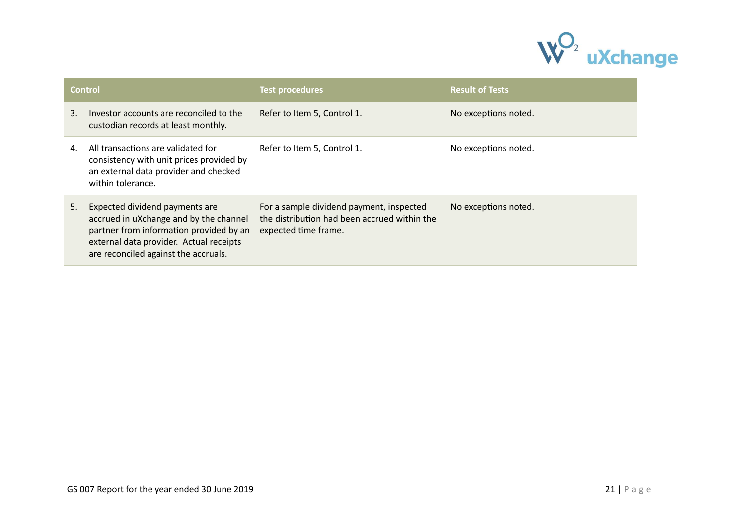

| Control |                                                                                                                                                                                                        | <b>Test procedures</b>                                                                                           | <b>Result of Tests</b> |
|---------|--------------------------------------------------------------------------------------------------------------------------------------------------------------------------------------------------------|------------------------------------------------------------------------------------------------------------------|------------------------|
| 3.      | Investor accounts are reconciled to the<br>custodian records at least monthly.                                                                                                                         | Refer to Item 5, Control 1.                                                                                      | No exceptions noted.   |
| 4.      | All transactions are validated for<br>consistency with unit prices provided by<br>an external data provider and checked<br>within tolerance.                                                           | Refer to Item 5, Control 1.                                                                                      | No exceptions noted.   |
| 5.      | Expected dividend payments are<br>accrued in uXchange and by the channel<br>partner from information provided by an<br>external data provider. Actual receipts<br>are reconciled against the accruals. | For a sample dividend payment, inspected<br>the distribution had been accrued within the<br>expected time frame. | No exceptions noted.   |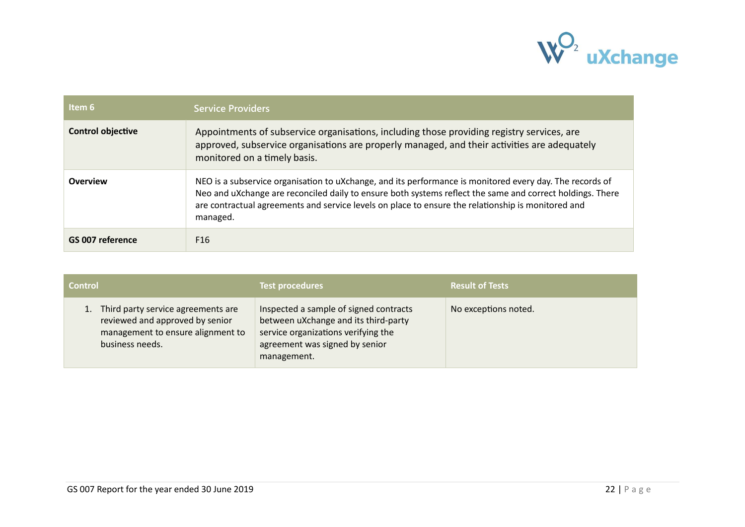

| Item 6                   | Service Providers                                                                                                                                                                                                                                                                                                                       |
|--------------------------|-----------------------------------------------------------------------------------------------------------------------------------------------------------------------------------------------------------------------------------------------------------------------------------------------------------------------------------------|
| <b>Control objective</b> | Appointments of subservice organisations, including those providing registry services, are<br>approved, subservice organisations are properly managed, and their activities are adequately<br>monitored on a timely basis.                                                                                                              |
| <b>Overview</b>          | NEO is a subservice organisation to uXchange, and its performance is monitored every day. The records of<br>Neo and uXchange are reconciled daily to ensure both systems reflect the same and correct holdings. There<br>are contractual agreements and service levels on place to ensure the relationship is monitored and<br>managed. |
| GS 007 reference         | F <sub>16</sub>                                                                                                                                                                                                                                                                                                                         |

| Control                                                                                                                             | <b>Test procedures</b>                                                                                                                                                 | <b>Result of Tests</b> |
|-------------------------------------------------------------------------------------------------------------------------------------|------------------------------------------------------------------------------------------------------------------------------------------------------------------------|------------------------|
| Third party service agreements are<br>1.<br>reviewed and approved by senior<br>management to ensure alignment to<br>business needs. | Inspected a sample of signed contracts<br>between uXchange and its third-party<br>service organizations verifying the<br>agreement was signed by senior<br>management. | No exceptions noted.   |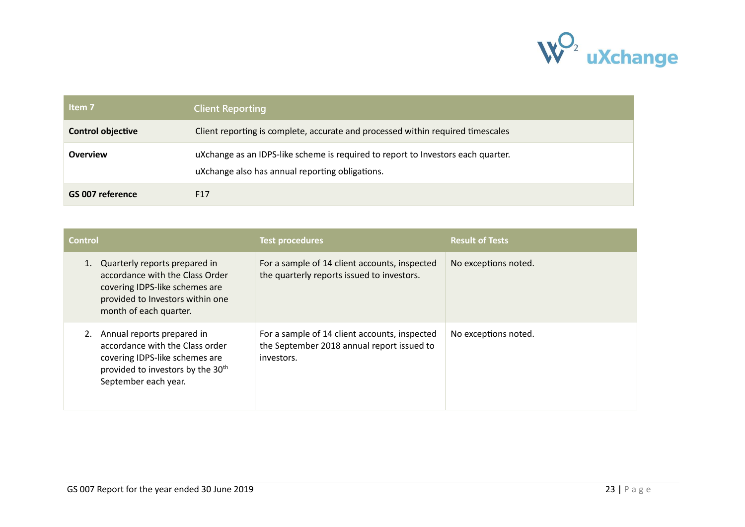

| Item <sub>7</sub>        | <b>Client Reporting</b>                                                                                                             |
|--------------------------|-------------------------------------------------------------------------------------------------------------------------------------|
| <b>Control objective</b> | Client reporting is complete, accurate and processed within required timescales                                                     |
| <b>Overview</b>          | uXchange as an IDPS-like scheme is required to report to Investors each quarter.<br>uXchange also has annual reporting obligations. |
| GS 007 reference         | F <sub>17</sub>                                                                                                                     |

| <b>Control</b>                                                                                                                                                           | <b>Test procedures</b>                                                                                    | <b>Result of Tests</b> |
|--------------------------------------------------------------------------------------------------------------------------------------------------------------------------|-----------------------------------------------------------------------------------------------------------|------------------------|
| Quarterly reports prepared in<br>accordance with the Class Order<br>covering IDPS-like schemes are<br>provided to Investors within one<br>month of each quarter.         | For a sample of 14 client accounts, inspected<br>the quarterly reports issued to investors.               | No exceptions noted.   |
| Annual reports prepared in<br>accordance with the Class order<br>covering IDPS-like schemes are<br>provided to investors by the 30 <sup>th</sup><br>September each year. | For a sample of 14 client accounts, inspected<br>the September 2018 annual report issued to<br>investors. | No exceptions noted.   |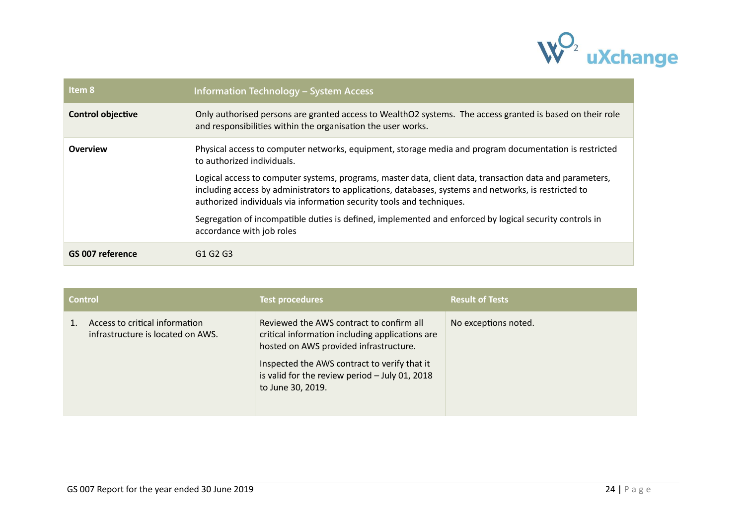

| Item 8                   | <b>Information Technology - System Access</b>                                                                                                                                                                                                                                                                                                                                                                                                                                                                                                                              |
|--------------------------|----------------------------------------------------------------------------------------------------------------------------------------------------------------------------------------------------------------------------------------------------------------------------------------------------------------------------------------------------------------------------------------------------------------------------------------------------------------------------------------------------------------------------------------------------------------------------|
| <b>Control objective</b> | Only authorised persons are granted access to WealthO2 systems. The access granted is based on their role<br>and responsibilities within the organisation the user works.                                                                                                                                                                                                                                                                                                                                                                                                  |
| <b>Overview</b>          | Physical access to computer networks, equipment, storage media and program documentation is restricted<br>to authorized individuals.<br>Logical access to computer systems, programs, master data, client data, transaction data and parameters,<br>including access by administrators to applications, databases, systems and networks, is restricted to<br>authorized individuals via information security tools and techniques.<br>Segregation of incompatible duties is defined, implemented and enforced by logical security controls in<br>accordance with job roles |
| GS 007 reference         | G1 G2 G3                                                                                                                                                                                                                                                                                                                                                                                                                                                                                                                                                                   |

| <b>Control</b> |                                                                     | <b>Test procedures</b>                                                                                                                                                                                                                                         | <b>Result of Tests</b> |
|----------------|---------------------------------------------------------------------|----------------------------------------------------------------------------------------------------------------------------------------------------------------------------------------------------------------------------------------------------------------|------------------------|
|                | Access to critical information<br>infrastructure is located on AWS. | Reviewed the AWS contract to confirm all<br>critical information including applications are<br>hosted on AWS provided infrastructure.<br>Inspected the AWS contract to verify that it<br>is valid for the review period $-$ July 01, 2018<br>to June 30, 2019. | No exceptions noted.   |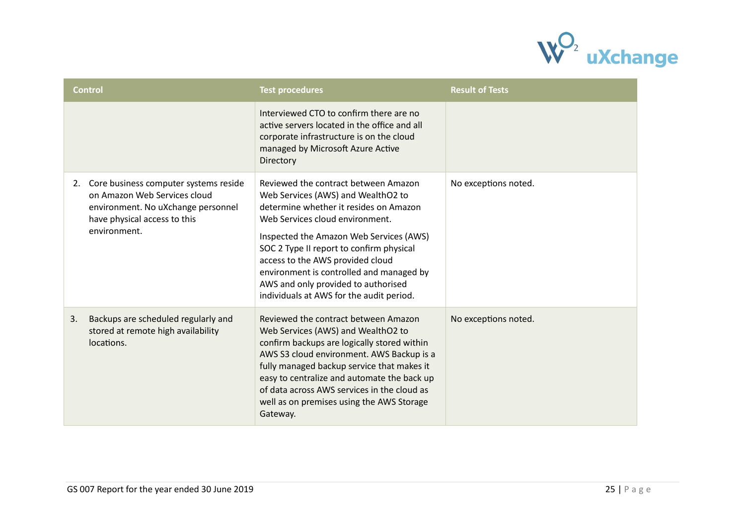

| <b>Control</b>                                                                                                                                                    | <b>Test procedures</b>                                                                                                                                                                                                                                                                                                                                                                                            | <b>Result of Tests</b> |
|-------------------------------------------------------------------------------------------------------------------------------------------------------------------|-------------------------------------------------------------------------------------------------------------------------------------------------------------------------------------------------------------------------------------------------------------------------------------------------------------------------------------------------------------------------------------------------------------------|------------------------|
|                                                                                                                                                                   | Interviewed CTO to confirm there are no<br>active servers located in the office and all<br>corporate infrastructure is on the cloud<br>managed by Microsoft Azure Active<br>Directory                                                                                                                                                                                                                             |                        |
| Core business computer systems reside<br>2.<br>on Amazon Web Services cloud<br>environment. No uXchange personnel<br>have physical access to this<br>environment. | Reviewed the contract between Amazon<br>Web Services (AWS) and WealthO2 to<br>determine whether it resides on Amazon<br>Web Services cloud environment.<br>Inspected the Amazon Web Services (AWS)<br>SOC 2 Type II report to confirm physical<br>access to the AWS provided cloud<br>environment is controlled and managed by<br>AWS and only provided to authorised<br>individuals at AWS for the audit period. | No exceptions noted.   |
| Backups are scheduled regularly and<br>3.<br>stored at remote high availability<br>locations.                                                                     | Reviewed the contract between Amazon<br>Web Services (AWS) and WealthO2 to<br>confirm backups are logically stored within<br>AWS S3 cloud environment. AWS Backup is a<br>fully managed backup service that makes it<br>easy to centralize and automate the back up<br>of data across AWS services in the cloud as<br>well as on premises using the AWS Storage<br>Gateway.                                       | No exceptions noted.   |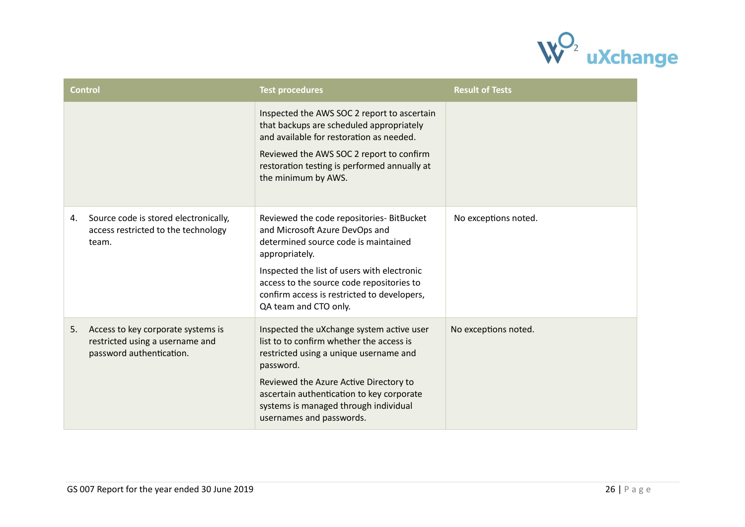

|    | <b>Control</b>                                                                                    | <b>Test procedures</b>                                                                                                                                                                                                                                                                                    | <b>Result of Tests</b> |
|----|---------------------------------------------------------------------------------------------------|-----------------------------------------------------------------------------------------------------------------------------------------------------------------------------------------------------------------------------------------------------------------------------------------------------------|------------------------|
|    |                                                                                                   | Inspected the AWS SOC 2 report to ascertain<br>that backups are scheduled appropriately<br>and available for restoration as needed.<br>Reviewed the AWS SOC 2 report to confirm<br>restoration testing is performed annually at<br>the minimum by AWS.                                                    |                        |
| 4. | Source code is stored electronically,<br>access restricted to the technology<br>team.             | Reviewed the code repositories- BitBucket<br>and Microsoft Azure DevOps and<br>determined source code is maintained<br>appropriately.<br>Inspected the list of users with electronic<br>access to the source code repositories to<br>confirm access is restricted to developers,<br>QA team and CTO only. | No exceptions noted.   |
| 5. | Access to key corporate systems is<br>restricted using a username and<br>password authentication. | Inspected the uXchange system active user<br>list to to confirm whether the access is<br>restricted using a unique username and<br>password.<br>Reviewed the Azure Active Directory to<br>ascertain authentication to key corporate<br>systems is managed through individual<br>usernames and passwords.  | No exceptions noted.   |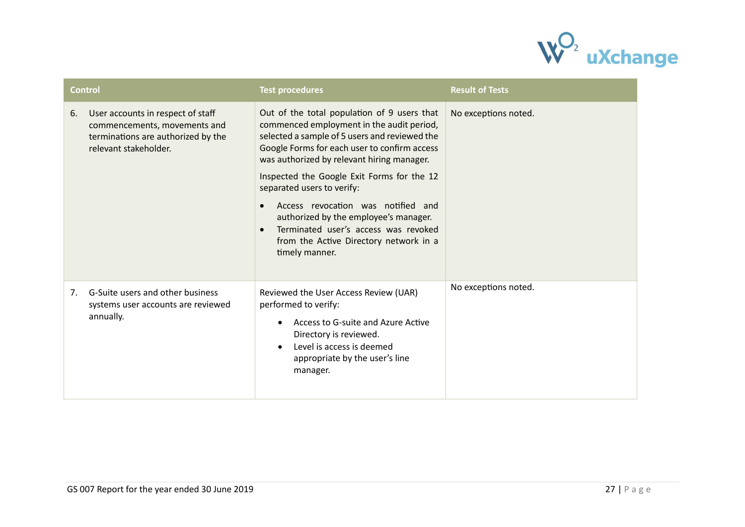

| <b>Control</b> |                                                                                                                                  | <b>Test procedures</b>                                                                                                                                                                                                                                                                                                                                                                                                                                                                                 | <b>Result of Tests</b> |
|----------------|----------------------------------------------------------------------------------------------------------------------------------|--------------------------------------------------------------------------------------------------------------------------------------------------------------------------------------------------------------------------------------------------------------------------------------------------------------------------------------------------------------------------------------------------------------------------------------------------------------------------------------------------------|------------------------|
| 6.             | User accounts in respect of staff<br>commencements, movements and<br>terminations are authorized by the<br>relevant stakeholder. | Out of the total population of 9 users that<br>commenced employment in the audit period,<br>selected a sample of 5 users and reviewed the<br>Google Forms for each user to confirm access<br>was authorized by relevant hiring manager.<br>Inspected the Google Exit Forms for the 12<br>separated users to verify:<br>Access revocation was notified and<br>authorized by the employee's manager.<br>Terminated user's access was revoked<br>from the Active Directory network in a<br>timely manner. | No exceptions noted.   |
| 7.             | G-Suite users and other business<br>systems user accounts are reviewed<br>annually.                                              | Reviewed the User Access Review (UAR)<br>performed to verify:<br>Access to G-suite and Azure Active<br>Directory is reviewed.<br>Level is access is deemed<br>appropriate by the user's line<br>manager.                                                                                                                                                                                                                                                                                               | No exceptions noted.   |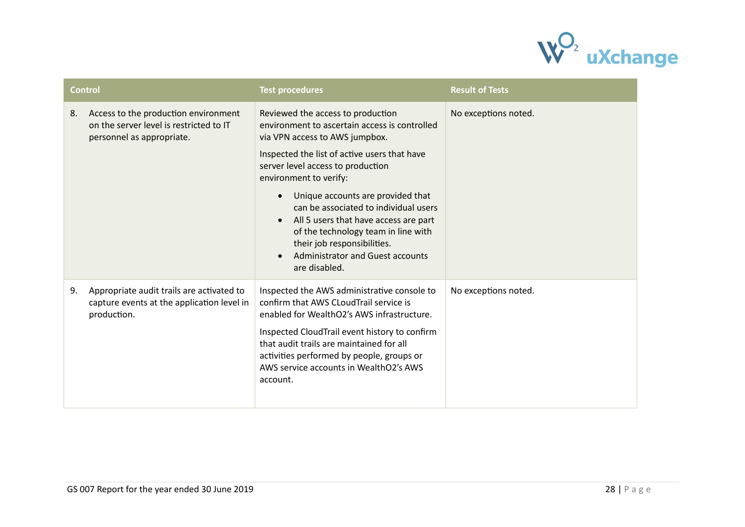

| <b>Control</b> |                                                                                                              | <b>Test procedures</b>                                                                                                                                                                                                                                                                                                              | <b>Result of Tests</b> |
|----------------|--------------------------------------------------------------------------------------------------------------|-------------------------------------------------------------------------------------------------------------------------------------------------------------------------------------------------------------------------------------------------------------------------------------------------------------------------------------|------------------------|
| 8.             | Access to the production environment<br>on the server level is restricted to IT<br>personnel as appropriate. | Reviewed the access to production<br>environment to ascertain access is controlled<br>via VPN access to AWS jumpbox.                                                                                                                                                                                                                | No exceptions noted.   |
|                |                                                                                                              | Inspected the list of active users that have<br>server level access to production<br>environment to verify:                                                                                                                                                                                                                         |                        |
|                |                                                                                                              | Unique accounts are provided that<br>can be associated to individual users<br>All 5 users that have access are part<br>of the technology team in line with<br>their job responsibilities.<br><b>Administrator and Guest accounts</b><br>are disabled.                                                                               |                        |
| 9.             | Appropriate audit trails are activated to<br>capture events at the application level in<br>production.       | Inspected the AWS administrative console to<br>confirm that AWS CLoudTrail service is<br>enabled for WealthO2's AWS infrastructure.<br>Inspected CloudTrail event history to confirm<br>that audit trails are maintained for all<br>activities performed by people, groups or<br>AWS service accounts in WealthO2's AWS<br>account. | No exceptions noted.   |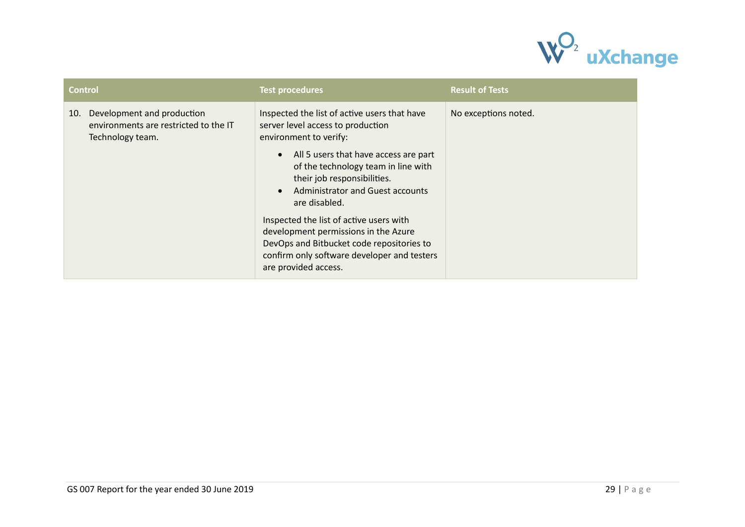

| <b>Control</b> |                                                                                         | <b>Test procedures</b>                                                                                                                                                                              | <b>Result of Tests</b> |
|----------------|-----------------------------------------------------------------------------------------|-----------------------------------------------------------------------------------------------------------------------------------------------------------------------------------------------------|------------------------|
| 10.            | Development and production<br>environments are restricted to the IT<br>Technology team. | Inspected the list of active users that have<br>server level access to production<br>environment to verify:                                                                                         | No exceptions noted.   |
|                |                                                                                         | • All 5 users that have access are part<br>of the technology team in line with<br>their job responsibilities.<br><b>Administrator and Guest accounts</b><br>are disabled.                           |                        |
|                |                                                                                         | Inspected the list of active users with<br>development permissions in the Azure<br>DevOps and Bitbucket code repositories to<br>confirm only software developer and testers<br>are provided access. |                        |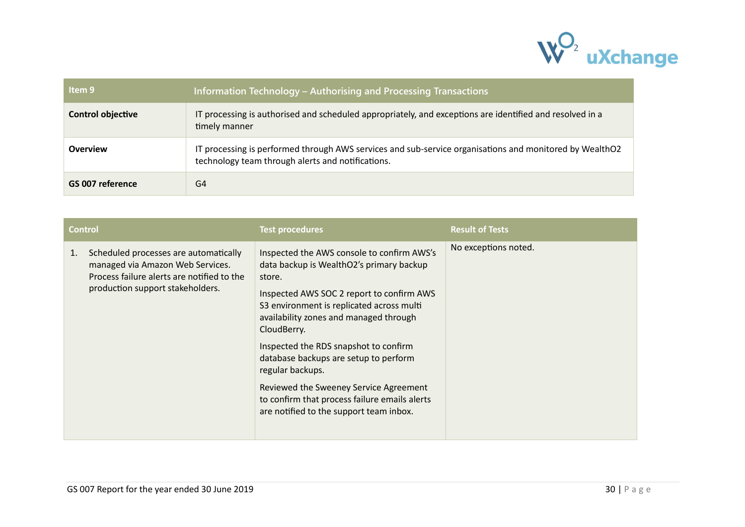

| Item 9                   | Information Technology – Authorising and Processing Transactions                                                                                             |
|--------------------------|--------------------------------------------------------------------------------------------------------------------------------------------------------------|
| <b>Control objective</b> | IT processing is authorised and scheduled appropriately, and exceptions are identified and resolved in a<br>timely manner                                    |
| <b>Overview</b>          | IT processing is performed through AWS services and sub-service organisations and monitored by WealthO2<br>technology team through alerts and notifications. |
| GS 007 reference         | G4                                                                                                                                                           |

| Control |                                                                                                                                                             | <b>Test procedures</b>                                                                                                                                                                                                                                                                                                                                    | <b>Result of Tests</b> |
|---------|-------------------------------------------------------------------------------------------------------------------------------------------------------------|-----------------------------------------------------------------------------------------------------------------------------------------------------------------------------------------------------------------------------------------------------------------------------------------------------------------------------------------------------------|------------------------|
| 1.      | Scheduled processes are automatically<br>managed via Amazon Web Services.<br>Process failure alerts are notified to the<br>production support stakeholders. | Inspected the AWS console to confirm AWS's<br>data backup is WealthO2's primary backup<br>store.<br>Inspected AWS SOC 2 report to confirm AWS<br>S3 environment is replicated across multi<br>availability zones and managed through<br>CloudBerry.<br>Inspected the RDS snapshot to confirm<br>database backups are setup to perform<br>regular backups. | No exceptions noted.   |
|         |                                                                                                                                                             | Reviewed the Sweeney Service Agreement<br>to confirm that process failure emails alerts<br>are notified to the support team inbox.                                                                                                                                                                                                                        |                        |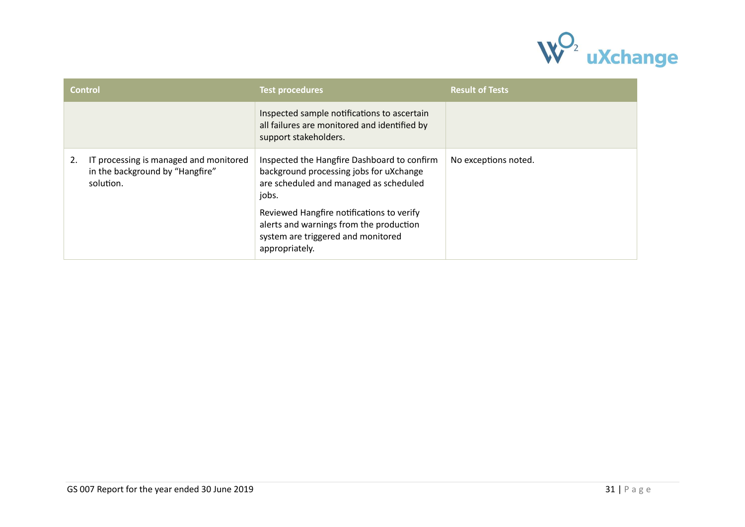

| <b>Control</b> |                                                                                        | <b>Test procedures</b>                                                                                                                                                                                                                                                                    | <b>Result of Tests</b> |
|----------------|----------------------------------------------------------------------------------------|-------------------------------------------------------------------------------------------------------------------------------------------------------------------------------------------------------------------------------------------------------------------------------------------|------------------------|
|                |                                                                                        | Inspected sample notifications to ascertain<br>all failures are monitored and identified by<br>support stakeholders.                                                                                                                                                                      |                        |
|                | IT processing is managed and monitored<br>in the background by "Hangfire"<br>solution. | Inspected the Hangfire Dashboard to confirm<br>background processing jobs for uXchange<br>are scheduled and managed as scheduled<br>jobs.<br>Reviewed Hangfire notifications to verify<br>alerts and warnings from the production<br>system are triggered and monitored<br>appropriately. | No exceptions noted.   |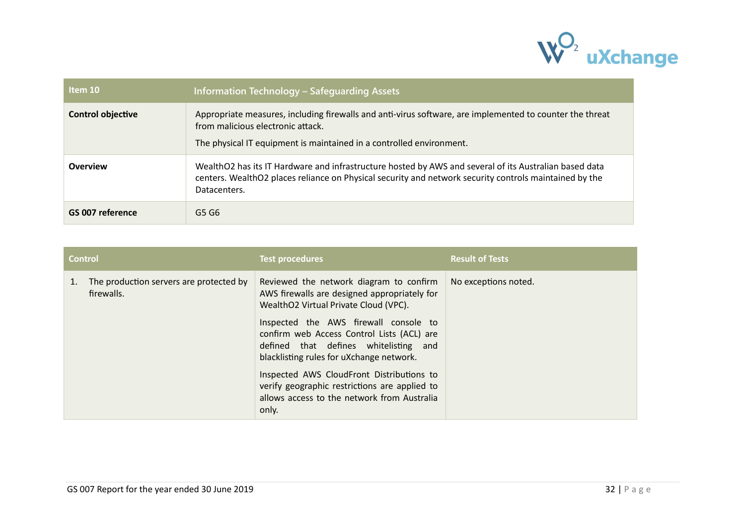

| Item 10                  | <b>Information Technology - Safeguarding Assets</b>                                                                                                                                                                              |
|--------------------------|----------------------------------------------------------------------------------------------------------------------------------------------------------------------------------------------------------------------------------|
| <b>Control objective</b> | Appropriate measures, including firewalls and anti-virus software, are implemented to counter the threat<br>from malicious electronic attack.<br>The physical IT equipment is maintained in a controlled environment.            |
| <b>Overview</b>          | WealthO2 has its IT Hardware and infrastructure hosted by AWS and several of its Australian based data<br>centers. WealthO2 places reliance on Physical security and network security controls maintained by the<br>Datacenters. |
| GS 007 reference         | G5 G6                                                                                                                                                                                                                            |

| <b>Control</b> |                                                       | <b>Test procedures</b>                                                                                                                                                    | <b>Result of Tests</b> |
|----------------|-------------------------------------------------------|---------------------------------------------------------------------------------------------------------------------------------------------------------------------------|------------------------|
|                | The production servers are protected by<br>firewalls. | Reviewed the network diagram to confirm<br>AWS firewalls are designed appropriately for<br>WealthO2 Virtual Private Cloud (VPC).<br>Inspected the AWS firewall console to | No exceptions noted.   |
|                |                                                       | confirm web Access Control Lists (ACL) are<br>defined that defines whitelisting and<br>blacklisting rules for uXchange network.                                           |                        |
|                |                                                       | Inspected AWS CloudFront Distributions to<br>verify geographic restrictions are applied to<br>allows access to the network from Australia<br>only.                        |                        |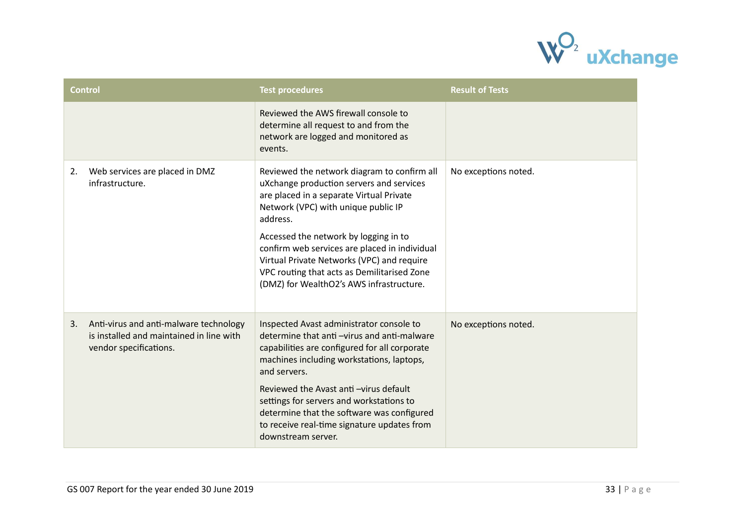

| <b>Control</b> |                                                                                                              | <b>Test procedures</b>                                                                                                                                                                                                                                                                                                                                                                                                    | <b>Result of Tests</b> |
|----------------|--------------------------------------------------------------------------------------------------------------|---------------------------------------------------------------------------------------------------------------------------------------------------------------------------------------------------------------------------------------------------------------------------------------------------------------------------------------------------------------------------------------------------------------------------|------------------------|
|                |                                                                                                              | Reviewed the AWS firewall console to<br>determine all request to and from the<br>network are logged and monitored as<br>events.                                                                                                                                                                                                                                                                                           |                        |
| 2.             | Web services are placed in DMZ<br>infrastructure.                                                            | Reviewed the network diagram to confirm all<br>uXchange production servers and services<br>are placed in a separate Virtual Private<br>Network (VPC) with unique public IP<br>address.<br>Accessed the network by logging in to<br>confirm web services are placed in individual<br>Virtual Private Networks (VPC) and require<br>VPC routing that acts as Demilitarised Zone<br>(DMZ) for WealthO2's AWS infrastructure. | No exceptions noted.   |
| 3.             | Anti-virus and anti-malware technology<br>is installed and maintained in line with<br>vendor specifications. | Inspected Avast administrator console to<br>determine that anti-virus and anti-malware<br>capabilities are configured for all corporate<br>machines including workstations, laptops,<br>and servers.<br>Reviewed the Avast anti-virus default<br>settings for servers and workstations to<br>determine that the software was configured<br>to receive real-time signature updates from<br>downstream server.              | No exceptions noted.   |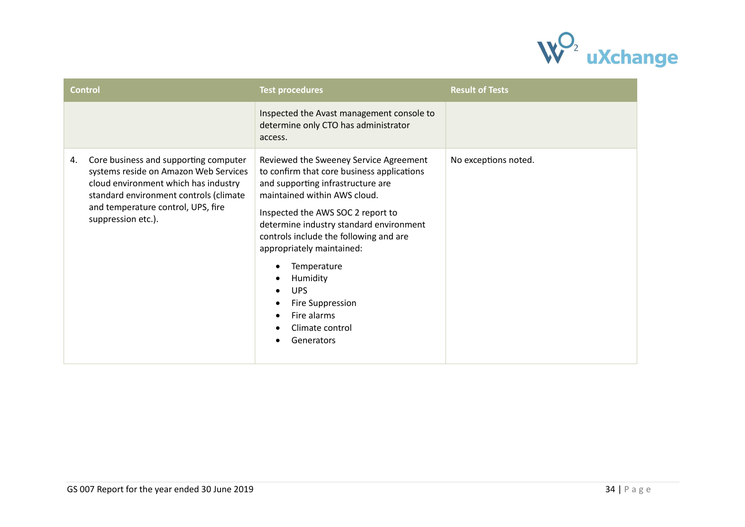

| <b>Control</b> |                                                                                                                                                                                                                              | <b>Test procedures</b>                                                                                                                                                                                                                                                                                                                                                                                                        | <b>Result of Tests</b> |
|----------------|------------------------------------------------------------------------------------------------------------------------------------------------------------------------------------------------------------------------------|-------------------------------------------------------------------------------------------------------------------------------------------------------------------------------------------------------------------------------------------------------------------------------------------------------------------------------------------------------------------------------------------------------------------------------|------------------------|
|                |                                                                                                                                                                                                                              | Inspected the Avast management console to<br>determine only CTO has administrator<br>access.                                                                                                                                                                                                                                                                                                                                  |                        |
| 4.             | Core business and supporting computer<br>systems reside on Amazon Web Services<br>cloud environment which has industry<br>standard environment controls (climate<br>and temperature control, UPS, fire<br>suppression etc.). | Reviewed the Sweeney Service Agreement<br>to confirm that core business applications<br>and supporting infrastructure are<br>maintained within AWS cloud.<br>Inspected the AWS SOC 2 report to<br>determine industry standard environment<br>controls include the following and are<br>appropriately maintained:<br>Temperature<br>Humidity<br><b>UPS</b><br>Fire Suppression<br>Fire alarms<br>Climate control<br>Generators | No exceptions noted.   |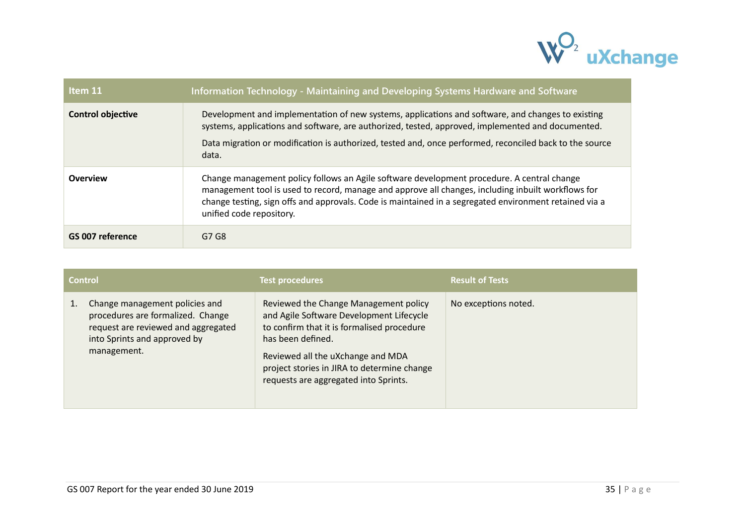

| Item 11                  | <b>Information Technology - Maintaining and Developing Systems Hardware and Software</b>                                                                                                                                                                                                                                               |
|--------------------------|----------------------------------------------------------------------------------------------------------------------------------------------------------------------------------------------------------------------------------------------------------------------------------------------------------------------------------------|
| <b>Control objective</b> | Development and implementation of new systems, applications and software, and changes to existing<br>systems, applications and software, are authorized, tested, approved, implemented and documented.<br>Data migration or modification is authorized, tested and, once performed, reconciled back to the source<br>data.             |
| <b>Overview</b>          | Change management policy follows an Agile software development procedure. A central change<br>management tool is used to record, manage and approve all changes, including inbuilt workflows for<br>change testing, sign offs and approvals. Code is maintained in a segregated environment retained via a<br>unified code repository. |
| GS 007 reference         | G7 G8                                                                                                                                                                                                                                                                                                                                  |

| Control |                                                                                                                                                           | <b>Test procedures</b>                                                                                                                                                                                                                                                            | <b>Result of Tests</b> |
|---------|-----------------------------------------------------------------------------------------------------------------------------------------------------------|-----------------------------------------------------------------------------------------------------------------------------------------------------------------------------------------------------------------------------------------------------------------------------------|------------------------|
|         | Change management policies and<br>procedures are formalized. Change<br>request are reviewed and aggregated<br>into Sprints and approved by<br>management. | Reviewed the Change Management policy<br>and Agile Software Development Lifecycle<br>to confirm that it is formalised procedure<br>has been defined.<br>Reviewed all the uXchange and MDA<br>project stories in JIRA to determine change<br>requests are aggregated into Sprints. | No exceptions noted.   |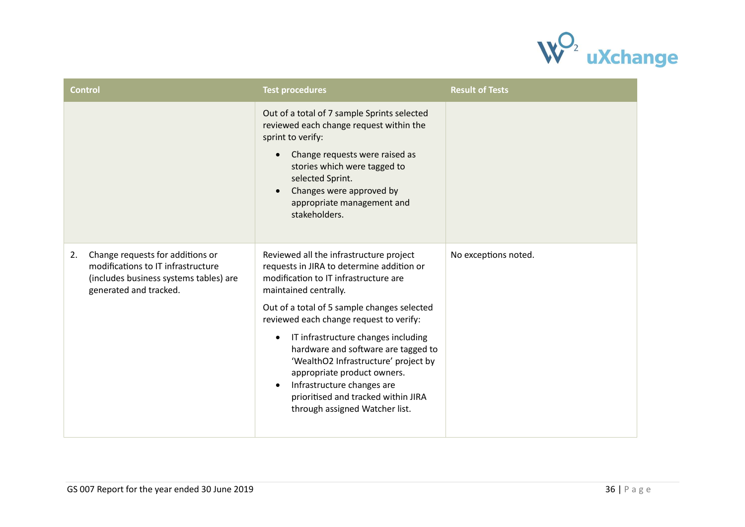

| <b>Control</b> |                                                                                                                                            | <b>Test procedures</b>                                                                                                                                                                                                                                                                                                                                                                                                                                                                                                    | <b>Result of Tests</b> |
|----------------|--------------------------------------------------------------------------------------------------------------------------------------------|---------------------------------------------------------------------------------------------------------------------------------------------------------------------------------------------------------------------------------------------------------------------------------------------------------------------------------------------------------------------------------------------------------------------------------------------------------------------------------------------------------------------------|------------------------|
|                |                                                                                                                                            | Out of a total of 7 sample Sprints selected<br>reviewed each change request within the<br>sprint to verify:<br>Change requests were raised as<br>$\bullet$<br>stories which were tagged to<br>selected Sprint.<br>Changes were approved by<br>$\bullet$<br>appropriate management and<br>stakeholders.                                                                                                                                                                                                                    |                        |
| 2.             | Change requests for additions or<br>modifications to IT infrastructure<br>(includes business systems tables) are<br>generated and tracked. | Reviewed all the infrastructure project<br>requests in JIRA to determine addition or<br>modification to IT infrastructure are<br>maintained centrally.<br>Out of a total of 5 sample changes selected<br>reviewed each change request to verify:<br>IT infrastructure changes including<br>$\bullet$<br>hardware and software are tagged to<br>'WealthO2 Infrastructure' project by<br>appropriate product owners.<br>Infrastructure changes are<br>prioritised and tracked within JIRA<br>through assigned Watcher list. | No exceptions noted.   |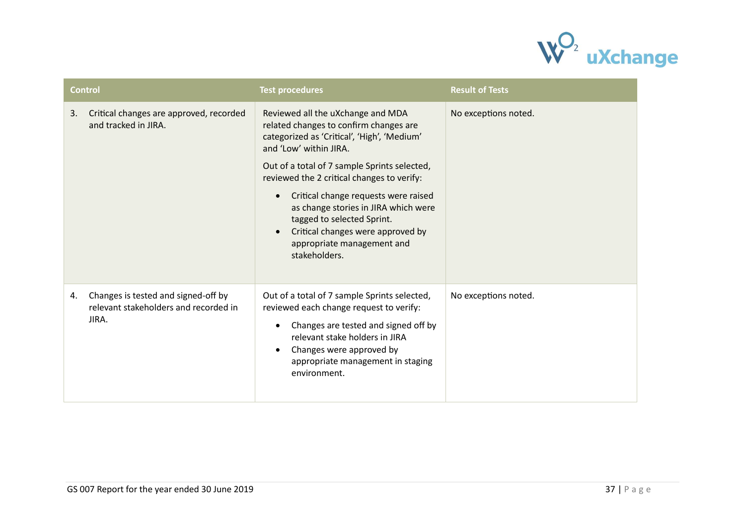

|    | <b>Control</b>                                                                        | <b>Test procedures</b>                                                                                                                                                                                                                                                                                                                                                                                                                                                         | <b>Result of Tests</b> |
|----|---------------------------------------------------------------------------------------|--------------------------------------------------------------------------------------------------------------------------------------------------------------------------------------------------------------------------------------------------------------------------------------------------------------------------------------------------------------------------------------------------------------------------------------------------------------------------------|------------------------|
| 3. | Critical changes are approved, recorded<br>and tracked in JIRA.                       | Reviewed all the uXchange and MDA<br>related changes to confirm changes are<br>categorized as 'Critical', 'High', 'Medium'<br>and 'Low' within JIRA.<br>Out of a total of 7 sample Sprints selected,<br>reviewed the 2 critical changes to verify:<br>Critical change requests were raised<br>$\bullet$<br>as change stories in JIRA which were<br>tagged to selected Sprint.<br>Critical changes were approved by<br>$\bullet$<br>appropriate management and<br>stakeholders. | No exceptions noted.   |
| 4. | Changes is tested and signed-off by<br>relevant stakeholders and recorded in<br>JIRA. | Out of a total of 7 sample Sprints selected,<br>reviewed each change request to verify:<br>Changes are tested and signed off by<br>relevant stake holders in JIRA<br>Changes were approved by<br>$\bullet$<br>appropriate management in staging<br>environment.                                                                                                                                                                                                                | No exceptions noted.   |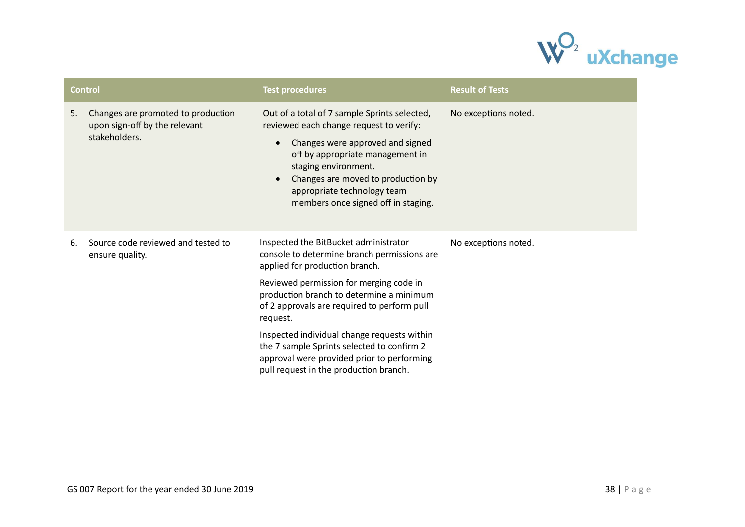

| <b>Control</b> |                                                                                      | <b>Test procedures</b>                                                                                                                                                                                                                                                                                                                                                                                                                                        | <b>Result of Tests</b> |
|----------------|--------------------------------------------------------------------------------------|---------------------------------------------------------------------------------------------------------------------------------------------------------------------------------------------------------------------------------------------------------------------------------------------------------------------------------------------------------------------------------------------------------------------------------------------------------------|------------------------|
| 5.             | Changes are promoted to production<br>upon sign-off by the relevant<br>stakeholders. | Out of a total of 7 sample Sprints selected,<br>reviewed each change request to verify:<br>Changes were approved and signed<br>off by appropriate management in<br>staging environment.<br>Changes are moved to production by<br>appropriate technology team<br>members once signed off in staging.                                                                                                                                                           | No exceptions noted.   |
| 6.             | Source code reviewed and tested to<br>ensure quality.                                | Inspected the BitBucket administrator<br>console to determine branch permissions are<br>applied for production branch.<br>Reviewed permission for merging code in<br>production branch to determine a minimum<br>of 2 approvals are required to perform pull<br>request.<br>Inspected individual change requests within<br>the 7 sample Sprints selected to confirm 2<br>approval were provided prior to performing<br>pull request in the production branch. | No exceptions noted.   |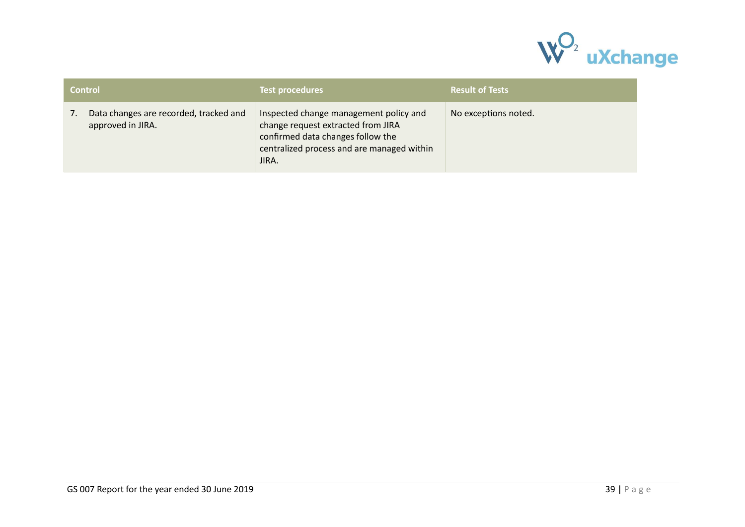

|                                                             |                                                                                                                                                                          |                        | uXchange |  |
|-------------------------------------------------------------|--------------------------------------------------------------------------------------------------------------------------------------------------------------------------|------------------------|----------|--|
| <b>Control</b>                                              | <b>Test procedures</b>                                                                                                                                                   | <b>Result of Tests</b> |          |  |
| Data changes are recorded, tracked and<br>approved in JIRA. | Inspected change management policy and<br>change request extracted from JIRA<br>confirmed data changes follow the<br>centralized process and are managed within<br>JIRA. | No exceptions noted.   |          |  |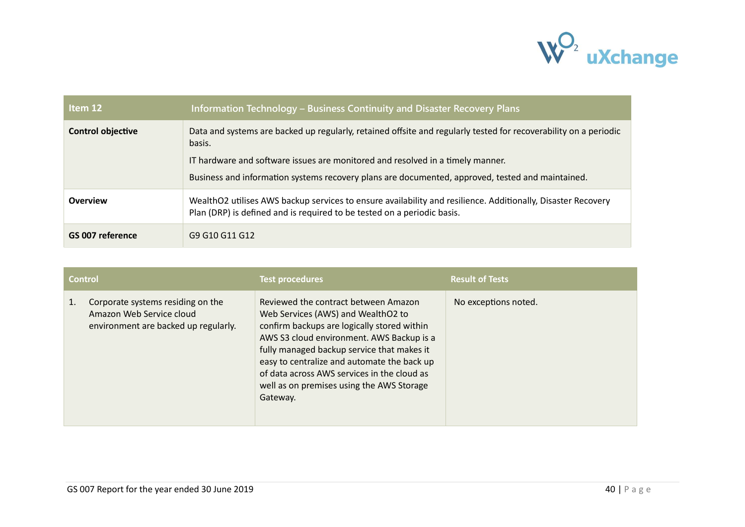

| Item 12                  | <b>Information Technology - Business Continuity and Disaster Recovery Plans</b>                                                                                                                                                                                                                                  |
|--------------------------|------------------------------------------------------------------------------------------------------------------------------------------------------------------------------------------------------------------------------------------------------------------------------------------------------------------|
| <b>Control objective</b> | Data and systems are backed up regularly, retained offsite and regularly tested for recoverability on a periodic<br>basis.<br>IT hardware and software issues are monitored and resolved in a timely manner.<br>Business and information systems recovery plans are documented, approved, tested and maintained. |
| <b>Overview</b>          | WealthO2 utilises AWS backup services to ensure availability and resilience. Additionally, Disaster Recovery<br>Plan (DRP) is defined and is required to be tested on a periodic basis.                                                                                                                          |
| GS 007 reference         | G9 G10 G11 G12                                                                                                                                                                                                                                                                                                   |

| <b>Control</b> |                                                                                                       | <b>Test procedures</b>                                                                                                                                                                                                                                                                                                                                                      | <b>Result of Tests</b> |
|----------------|-------------------------------------------------------------------------------------------------------|-----------------------------------------------------------------------------------------------------------------------------------------------------------------------------------------------------------------------------------------------------------------------------------------------------------------------------------------------------------------------------|------------------------|
|                | Corporate systems residing on the<br>Amazon Web Service cloud<br>environment are backed up regularly. | Reviewed the contract between Amazon<br>Web Services (AWS) and WealthO2 to<br>confirm backups are logically stored within<br>AWS S3 cloud environment. AWS Backup is a<br>fully managed backup service that makes it<br>easy to centralize and automate the back up<br>of data across AWS services in the cloud as<br>well as on premises using the AWS Storage<br>Gateway. | No exceptions noted.   |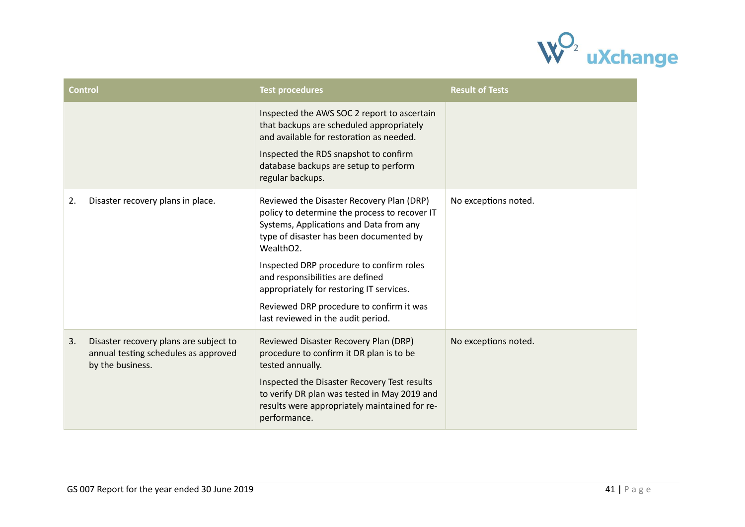

| <b>Control</b>                                                                                           | <b>Test procedures</b>                                                                                                                                                                                                                                                                                                                                                                                      | <b>Result of Tests</b> |
|----------------------------------------------------------------------------------------------------------|-------------------------------------------------------------------------------------------------------------------------------------------------------------------------------------------------------------------------------------------------------------------------------------------------------------------------------------------------------------------------------------------------------------|------------------------|
|                                                                                                          | Inspected the AWS SOC 2 report to ascertain<br>that backups are scheduled appropriately<br>and available for restoration as needed.<br>Inspected the RDS snapshot to confirm<br>database backups are setup to perform<br>regular backups.                                                                                                                                                                   |                        |
| 2.<br>Disaster recovery plans in place.                                                                  | Reviewed the Disaster Recovery Plan (DRP)<br>policy to determine the process to recover IT<br>Systems, Applications and Data from any<br>type of disaster has been documented by<br>WealthO2.<br>Inspected DRP procedure to confirm roles<br>and responsibilities are defined<br>appropriately for restoring IT services.<br>Reviewed DRP procedure to confirm it was<br>last reviewed in the audit period. | No exceptions noted.   |
| Disaster recovery plans are subject to<br>3.<br>annual testing schedules as approved<br>by the business. | Reviewed Disaster Recovery Plan (DRP)<br>procedure to confirm it DR plan is to be<br>tested annually.<br>Inspected the Disaster Recovery Test results<br>to verify DR plan was tested in May 2019 and<br>results were appropriately maintained for re-<br>performance.                                                                                                                                      | No exceptions noted.   |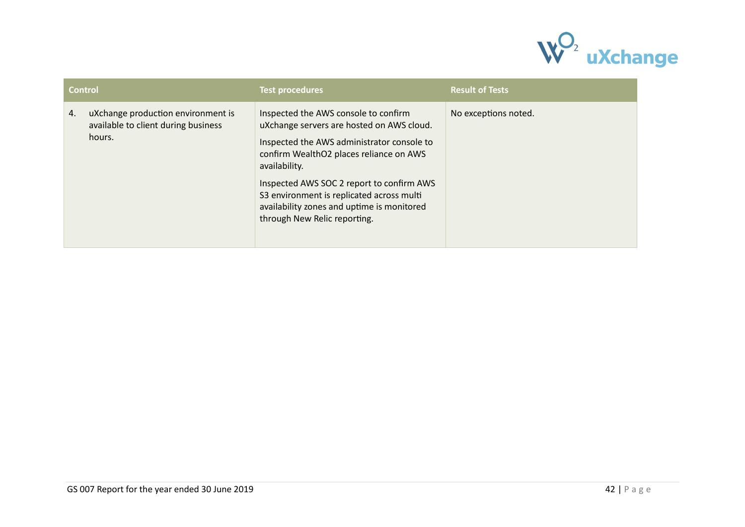

| <b>Control</b> |                                                                                     | <b>Test procedures</b>                                                                                                                                                                                                                                                                                                                                              | <b>Result of Tests</b> |
|----------------|-------------------------------------------------------------------------------------|---------------------------------------------------------------------------------------------------------------------------------------------------------------------------------------------------------------------------------------------------------------------------------------------------------------------------------------------------------------------|------------------------|
| 4.             | uXchange production environment is<br>available to client during business<br>hours. | Inspected the AWS console to confirm<br>uXchange servers are hosted on AWS cloud.<br>Inspected the AWS administrator console to<br>confirm WealthO2 places reliance on AWS<br>availability.<br>Inspected AWS SOC 2 report to confirm AWS<br>S3 environment is replicated across multi<br>availability zones and uptime is monitored<br>through New Relic reporting. | No exceptions noted.   |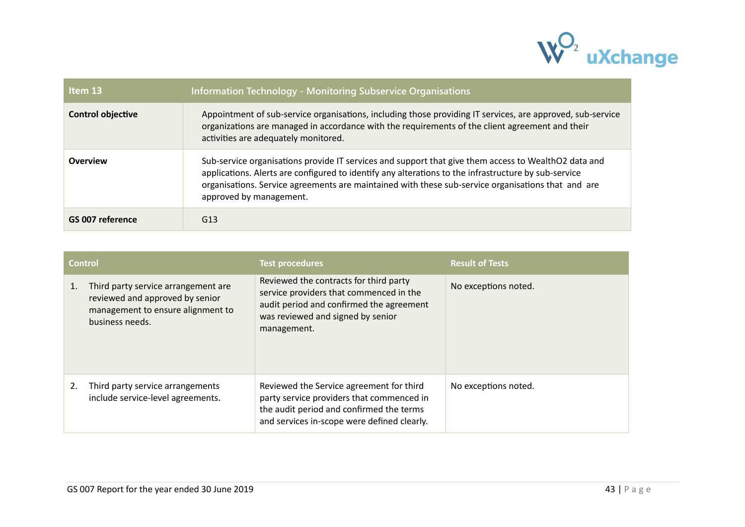

| Item 13                  | <b>Information Technology - Monitoring Subservice Organisations</b>                                                                                                                                                                                                                                                                           |
|--------------------------|-----------------------------------------------------------------------------------------------------------------------------------------------------------------------------------------------------------------------------------------------------------------------------------------------------------------------------------------------|
| <b>Control objective</b> | Appointment of sub-service organisations, including those providing IT services, are approved, sub-service<br>organizations are managed in accordance with the requirements of the client agreement and their<br>activities are adequately monitored.                                                                                         |
| <b>Overview</b>          | Sub-service organisations provide IT services and support that give them access to WealthO2 data and<br>applications. Alerts are configured to identify any alterations to the infrastructure by sub-service<br>organisations. Service agreements are maintained with these sub-service organisations that and are<br>approved by management. |
| GS 007 reference         | G13                                                                                                                                                                                                                                                                                                                                           |

| <b>Control</b> |                                                                                                                                | <b>Test procedures</b>                                                                                                                                                            | <b>Result of Tests</b> |
|----------------|--------------------------------------------------------------------------------------------------------------------------------|-----------------------------------------------------------------------------------------------------------------------------------------------------------------------------------|------------------------|
| 1.             | Third party service arrangement are<br>reviewed and approved by senior<br>management to ensure alignment to<br>business needs. | Reviewed the contracts for third party<br>service providers that commenced in the<br>audit period and confirmed the agreement<br>was reviewed and signed by senior<br>management. | No exceptions noted.   |
| 2.             | Third party service arrangements<br>include service-level agreements.                                                          | Reviewed the Service agreement for third<br>party service providers that commenced in<br>the audit period and confirmed the terms<br>and services in-scope were defined clearly.  | No exceptions noted.   |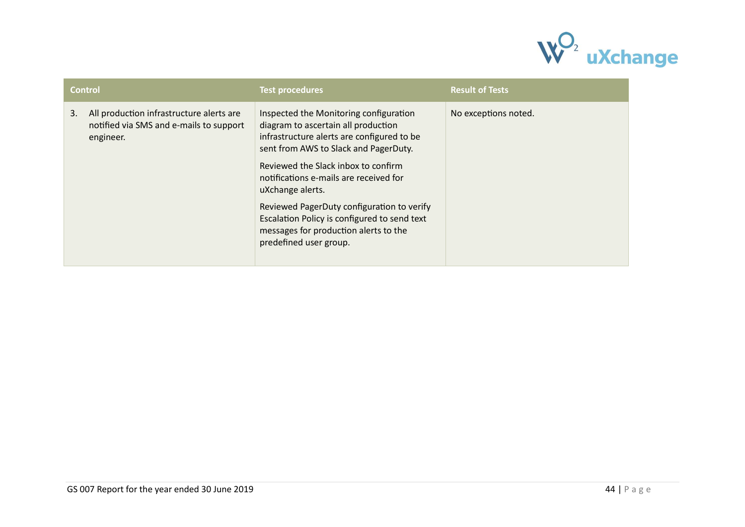

| <b>Result of Tests</b><br>Control<br><b>Test procedures</b>                                                                                                                                                                                                                                                                                                                                                                                                                                                                                                                  |  |
|------------------------------------------------------------------------------------------------------------------------------------------------------------------------------------------------------------------------------------------------------------------------------------------------------------------------------------------------------------------------------------------------------------------------------------------------------------------------------------------------------------------------------------------------------------------------------|--|
| All production infrastructure alerts are<br>Inspected the Monitoring configuration<br>No exceptions noted.<br>3.<br>notified via SMS and e-mails to support<br>diagram to ascertain all production<br>infrastructure alerts are configured to be<br>engineer.<br>sent from AWS to Slack and PagerDuty.<br>Reviewed the Slack inbox to confirm<br>notifications e-mails are received for<br>uXchange alerts.<br>Reviewed PagerDuty configuration to verify<br>Escalation Policy is configured to send text<br>messages for production alerts to the<br>predefined user group. |  |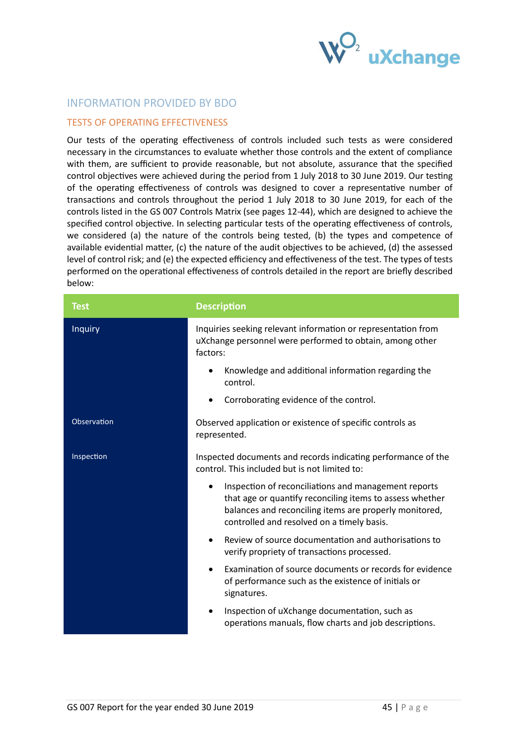

## <span id="page-44-0"></span>INFORMATION PROVIDED BY BDO

#### <span id="page-44-1"></span>TESTS OF OPERATING EFFECTIVENESS

Our tests of the operating effectiveness of controls included such tests as were considered necessary in the circumstances to evaluate whether those controls and the extent of compliance with them, are sufficient to provide reasonable, but not absolute, assurance that the specified control objectives were achieved during the period from 1 July 2018 to 30 June 2019. Our testing of the operating effectiveness of controls was designed to cover a representative number of transactions and controls throughout the period 1 July 2018 to 30 June 2019, for each of the controls listed in the GS 007 Controls Matrix (see pages 12-44), which are designed to achieve the specified control objective. In selecting particular tests of the operating effectiveness of controls, we considered (a) the nature of the controls being tested, (b) the types and competence of available evidential matter, (c) the nature of the audit objectives to be achieved, (d) the assessed level of control risk; and (e) the expected efficiency and effectiveness of the test. The types of tests performed on the operational effectiveness of controls detailed in the report are briefly described below:

| <b>Test</b>    | <b>Description</b>                                                                                                                                                                                                       |
|----------------|--------------------------------------------------------------------------------------------------------------------------------------------------------------------------------------------------------------------------|
| <b>Inquiry</b> | Inquiries seeking relevant information or representation from<br>uXchange personnel were performed to obtain, among other<br>factors:                                                                                    |
|                | Knowledge and additional information regarding the<br>control.                                                                                                                                                           |
|                | Corroborating evidence of the control.                                                                                                                                                                                   |
| Observation    | Observed application or existence of specific controls as<br>represented.                                                                                                                                                |
| Inspection     | Inspected documents and records indicating performance of the<br>control. This included but is not limited to:                                                                                                           |
|                | Inspection of reconciliations and management reports<br>that age or quantify reconciling items to assess whether<br>balances and reconciling items are properly monitored,<br>controlled and resolved on a timely basis. |
|                | Review of source documentation and authorisations to<br>$\bullet$<br>verify propriety of transactions processed.                                                                                                         |
|                | Examination of source documents or records for evidence<br>$\bullet$<br>of performance such as the existence of initials or<br>signatures.                                                                               |
|                | Inspection of uXchange documentation, such as<br>$\bullet$<br>operations manuals, flow charts and job descriptions.                                                                                                      |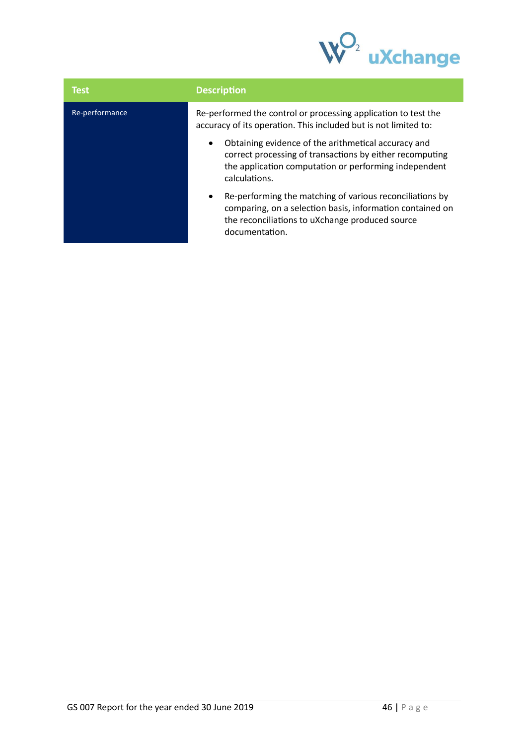

| <b>Test</b>    | <b>Description</b>                                                                                                                                                                                      |
|----------------|---------------------------------------------------------------------------------------------------------------------------------------------------------------------------------------------------------|
| Re-performance | Re-performed the control or processing application to test the<br>accuracy of its operation. This included but is not limited to:                                                                       |
|                | Obtaining evidence of the arithmetical accuracy and<br>$\bullet$<br>correct processing of transactions by either recomputing<br>the application computation or performing independent<br>calculations.  |
|                | Re-performing the matching of various reconciliations by<br>$\bullet$<br>comparing, on a selection basis, information contained on<br>the reconciliations to uXchange produced source<br>documentation. |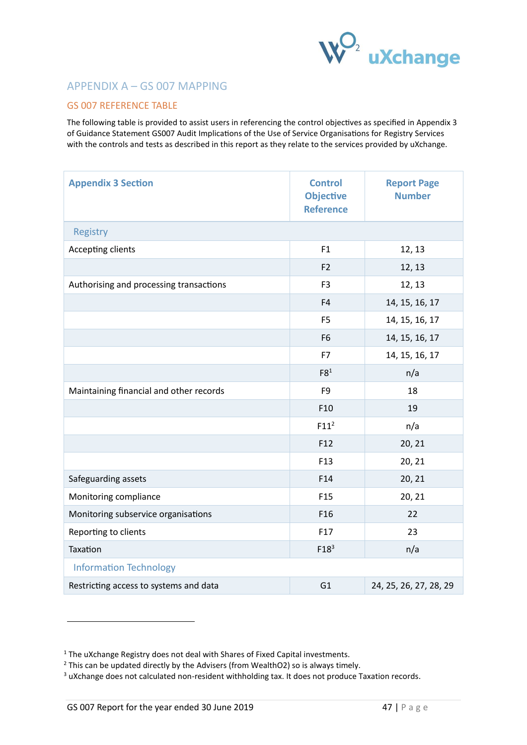

## <span id="page-46-0"></span>APPENDIX A – GS 007 MAPPING

#### <span id="page-46-1"></span>GS 007 REFERENCE TABLE

The following table is provided to assist users in referencing the control objectives as specified in Appendix 3 of Guidance Statement GS007 Audit Implications of the Use of Service Organisations for Registry Services with the controls and tests as described in this report as they relate to the services provided by uXchange.

<span id="page-46-2"></span>

| <b>Appendix 3 Section</b>               | <b>Control</b><br><b>Objective</b><br><b>Reference</b> | <b>Report Page</b><br><b>Number</b> |
|-----------------------------------------|--------------------------------------------------------|-------------------------------------|
| Registry                                |                                                        |                                     |
| <b>Accepting clients</b>                | F <sub>1</sub>                                         | 12, 13                              |
|                                         | F <sub>2</sub>                                         | 12, 13                              |
| Authorising and processing transactions | F <sub>3</sub>                                         | 12, 13                              |
|                                         | F <sub>4</sub>                                         | 14, 15, 16, 17                      |
|                                         | F <sub>5</sub>                                         | 14, 15, 16, 17                      |
|                                         | F <sub>6</sub>                                         | 14, 15, 16, 17                      |
|                                         | F7                                                     | 14, 15, 16, 17                      |
|                                         | F8 <sup>1</sup>                                        | n/a                                 |
| Maintaining financial and other records | F <sub>9</sub>                                         | 18                                  |
|                                         | F10                                                    | 19                                  |
|                                         | $F11^2$                                                | n/a                                 |
|                                         | F12                                                    | 20, 21                              |
|                                         | F13                                                    | 20, 21                              |
| Safeguarding assets                     | F14                                                    | 20, 21                              |
| Monitoring compliance                   | F <sub>15</sub>                                        | 20, 21                              |
| Monitoring subservice organisations     | F <sub>16</sub>                                        | 22                                  |
| Reporting to clients                    | F17                                                    | 23                                  |
| Taxation                                | F18 <sup>3</sup>                                       | n/a                                 |
| <b>Information Technology</b>           |                                                        |                                     |
| Restricting access to systems and data  | G1                                                     | 24, 25, 26, 27, 28, 29              |

<span id="page-46-3"></span><sup>&</sup>lt;sup>1</sup> The uXchange Registry does not deal with Shares of Fixed Capital investments.

<sup>&</sup>lt;sup>2</sup> This can be updated directly by the Advisers (from WealthO2) so is always timely.

<sup>&</sup>lt;sup>3</sup> uXchange does not calculated non-resident withholding tax. It does not produce Taxation records.